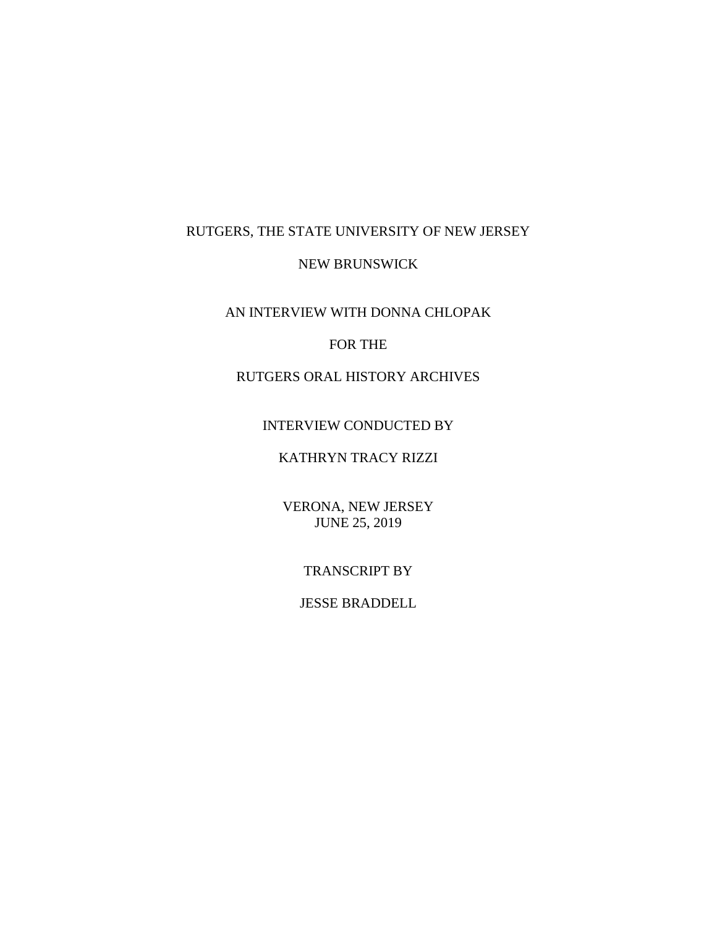# RUTGERS, THE STATE UNIVERSITY OF NEW JERSEY

### NEW BRUNSWICK

AN INTERVIEW WITH DONNA CHLOPAK

### FOR THE

RUTGERS ORAL HISTORY ARCHIVES

INTERVIEW CONDUCTED BY

# KATHRYN TRACY RIZZI

VERONA, NEW JERSEY JUNE 25, 2019

TRANSCRIPT BY

JESSE BRADDELL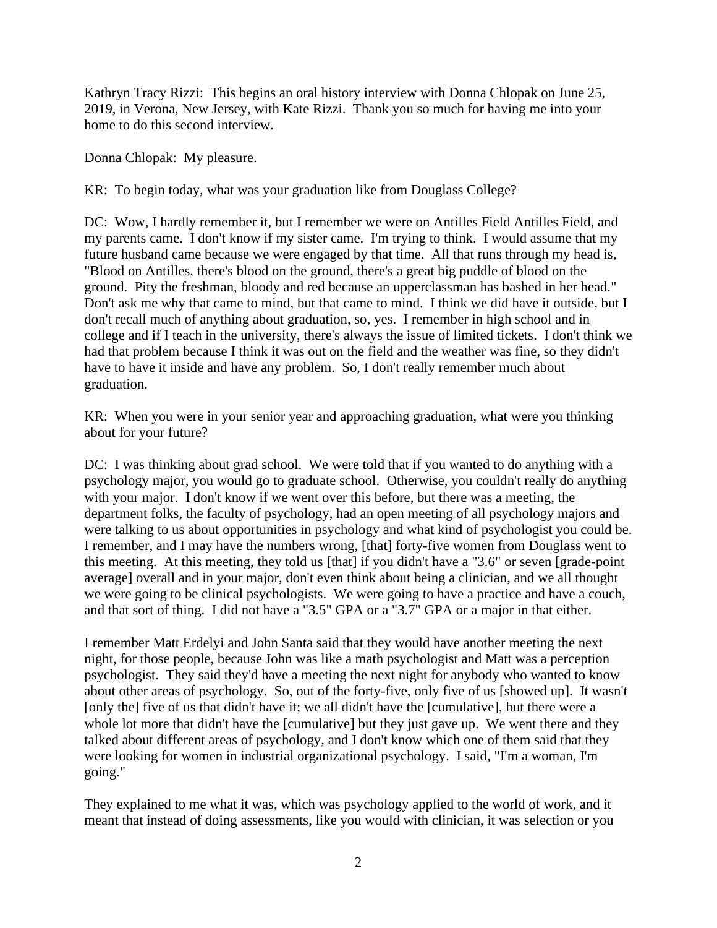Kathryn Tracy Rizzi: This begins an oral history interview with Donna Chlopak on June 25, 2019, in Verona, New Jersey, with Kate Rizzi. Thank you so much for having me into your home to do this second interview.

Donna Chlopak: My pleasure.

KR: To begin today, what was your graduation like from Douglass College?

DC: Wow, I hardly remember it, but I remember we were on Antilles Field Antilles Field, and my parents came. I don't know if my sister came. I'm trying to think. I would assume that my future husband came because we were engaged by that time. All that runs through my head is, "Blood on Antilles, there's blood on the ground, there's a great big puddle of blood on the ground. Pity the freshman, bloody and red because an upperclassman has bashed in her head." Don't ask me why that came to mind, but that came to mind. I think we did have it outside, but I don't recall much of anything about graduation, so, yes. I remember in high school and in college and if I teach in the university, there's always the issue of limited tickets. I don't think we had that problem because I think it was out on the field and the weather was fine, so they didn't have to have it inside and have any problem. So, I don't really remember much about graduation.

KR: When you were in your senior year and approaching graduation, what were you thinking about for your future?

DC: I was thinking about grad school. We were told that if you wanted to do anything with a psychology major, you would go to graduate school. Otherwise, you couldn't really do anything with your major. I don't know if we went over this before, but there was a meeting, the department folks, the faculty of psychology, had an open meeting of all psychology majors and were talking to us about opportunities in psychology and what kind of psychologist you could be. I remember, and I may have the numbers wrong, [that] forty-five women from Douglass went to this meeting. At this meeting, they told us [that] if you didn't have a "3.6" or seven [grade-point average] overall and in your major, don't even think about being a clinician, and we all thought we were going to be clinical psychologists. We were going to have a practice and have a couch, and that sort of thing. I did not have a "3.5" GPA or a "3.7" GPA or a major in that either.

I remember Matt Erdelyi and John Santa said that they would have another meeting the next night, for those people, because John was like a math psychologist and Matt was a perception psychologist. They said they'd have a meeting the next night for anybody who wanted to know about other areas of psychology. So, out of the forty-five, only five of us [showed up]. It wasn't [only the] five of us that didn't have it; we all didn't have the [cumulative], but there were a whole lot more that didn't have the [cumulative] but they just gave up. We went there and they talked about different areas of psychology, and I don't know which one of them said that they were looking for women in industrial organizational psychology. I said, "I'm a woman, I'm going."

They explained to me what it was, which was psychology applied to the world of work, and it meant that instead of doing assessments, like you would with clinician, it was selection or you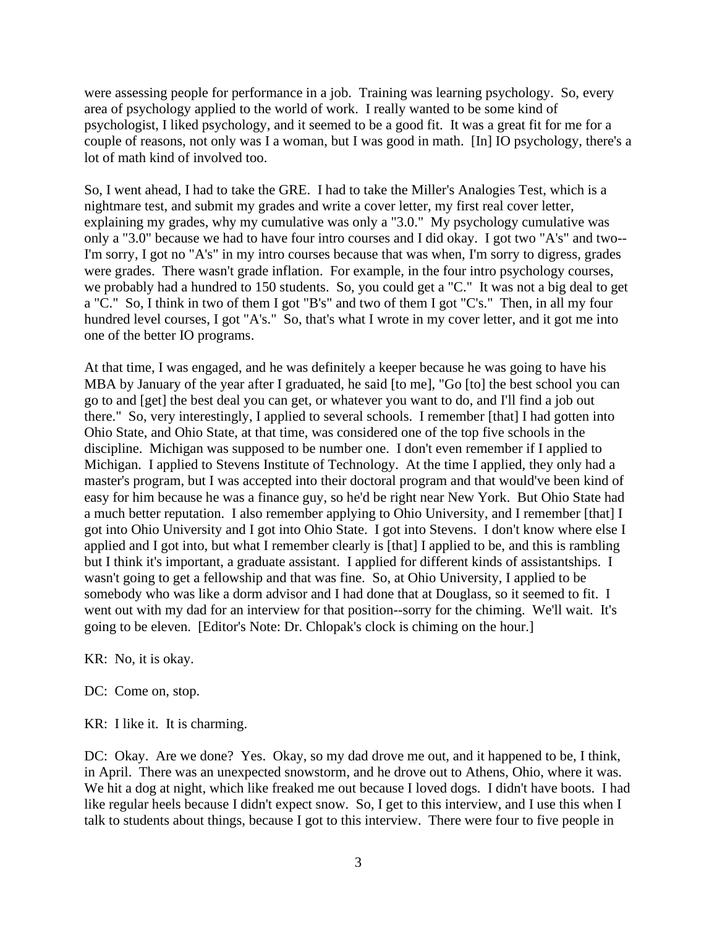were assessing people for performance in a job. Training was learning psychology. So, every area of psychology applied to the world of work. I really wanted to be some kind of psychologist, I liked psychology, and it seemed to be a good fit. It was a great fit for me for a couple of reasons, not only was I a woman, but I was good in math. [In] IO psychology, there's a lot of math kind of involved too.

So, I went ahead, I had to take the GRE. I had to take the Miller's Analogies Test, which is a nightmare test, and submit my grades and write a cover letter, my first real cover letter, explaining my grades, why my cumulative was only a "3.0." My psychology cumulative was only a "3.0" because we had to have four intro courses and I did okay. I got two "A's" and two-- I'm sorry, I got no "A's" in my intro courses because that was when, I'm sorry to digress, grades were grades. There wasn't grade inflation. For example, in the four intro psychology courses, we probably had a hundred to 150 students. So, you could get a "C." It was not a big deal to get a "C." So, I think in two of them I got "B's" and two of them I got "C's." Then, in all my four hundred level courses, I got "A's." So, that's what I wrote in my cover letter, and it got me into one of the better IO programs.

At that time, I was engaged, and he was definitely a keeper because he was going to have his MBA by January of the year after I graduated, he said [to me], "Go [to] the best school you can go to and [get] the best deal you can get, or whatever you want to do, and I'll find a job out there." So, very interestingly, I applied to several schools. I remember [that] I had gotten into Ohio State, and Ohio State, at that time, was considered one of the top five schools in the discipline. Michigan was supposed to be number one. I don't even remember if I applied to Michigan. I applied to Stevens Institute of Technology. At the time I applied, they only had a master's program, but I was accepted into their doctoral program and that would've been kind of easy for him because he was a finance guy, so he'd be right near New York. But Ohio State had a much better reputation. I also remember applying to Ohio University, and I remember [that] I got into Ohio University and I got into Ohio State. I got into Stevens. I don't know where else I applied and I got into, but what I remember clearly is [that] I applied to be, and this is rambling but I think it's important, a graduate assistant. I applied for different kinds of assistantships. I wasn't going to get a fellowship and that was fine. So, at Ohio University, I applied to be somebody who was like a dorm advisor and I had done that at Douglass, so it seemed to fit. I went out with my dad for an interview for that position--sorry for the chiming. We'll wait. It's going to be eleven. [Editor's Note: Dr. Chlopak's clock is chiming on the hour.]

KR: No, it is okay.

DC: Come on, stop.

KR: I like it. It is charming.

DC: Okay. Are we done? Yes. Okay, so my dad drove me out, and it happened to be, I think, in April. There was an unexpected snowstorm, and he drove out to Athens, Ohio, where it was. We hit a dog at night, which like freaked me out because I loved dogs. I didn't have boots. I had like regular heels because I didn't expect snow. So, I get to this interview, and I use this when I talk to students about things, because I got to this interview. There were four to five people in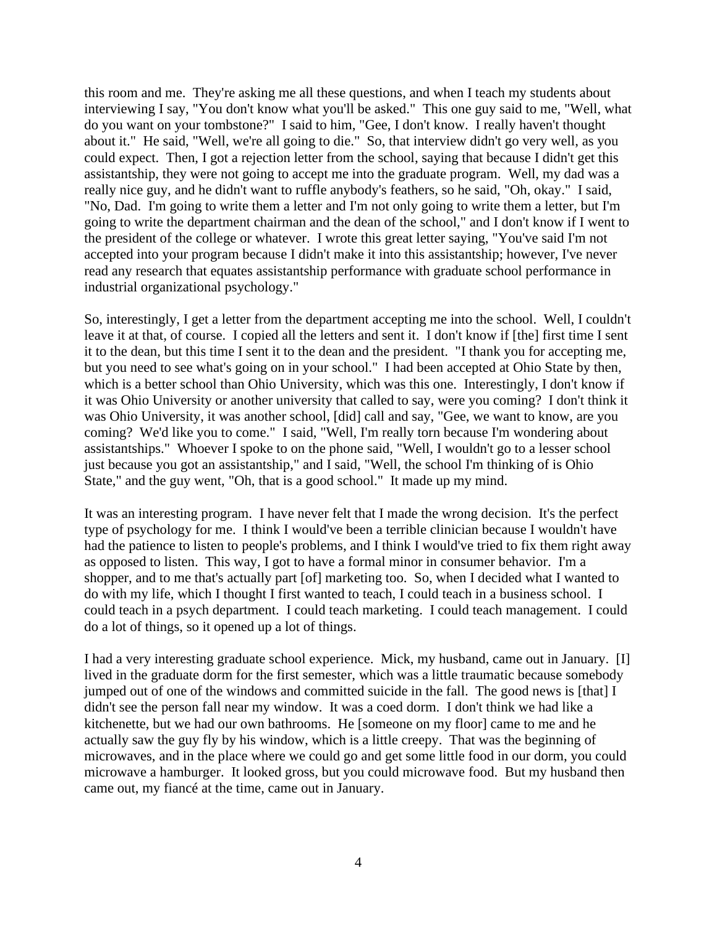this room and me. They're asking me all these questions, and when I teach my students about interviewing I say, "You don't know what you'll be asked." This one guy said to me, "Well, what do you want on your tombstone?" I said to him, "Gee, I don't know. I really haven't thought about it." He said, "Well, we're all going to die." So, that interview didn't go very well, as you could expect. Then, I got a rejection letter from the school, saying that because I didn't get this assistantship, they were not going to accept me into the graduate program. Well, my dad was a really nice guy, and he didn't want to ruffle anybody's feathers, so he said, "Oh, okay." I said, "No, Dad. I'm going to write them a letter and I'm not only going to write them a letter, but I'm going to write the department chairman and the dean of the school," and I don't know if I went to the president of the college or whatever. I wrote this great letter saying, "You've said I'm not accepted into your program because I didn't make it into this assistantship; however, I've never read any research that equates assistantship performance with graduate school performance in industrial organizational psychology."

So, interestingly, I get a letter from the department accepting me into the school. Well, I couldn't leave it at that, of course. I copied all the letters and sent it. I don't know if [the] first time I sent it to the dean, but this time I sent it to the dean and the president. "I thank you for accepting me, but you need to see what's going on in your school." I had been accepted at Ohio State by then, which is a better school than Ohio University, which was this one. Interestingly, I don't know if it was Ohio University or another university that called to say, were you coming? I don't think it was Ohio University, it was another school, [did] call and say, "Gee, we want to know, are you coming? We'd like you to come." I said, "Well, I'm really torn because I'm wondering about assistantships." Whoever I spoke to on the phone said, "Well, I wouldn't go to a lesser school just because you got an assistantship," and I said, "Well, the school I'm thinking of is Ohio State," and the guy went, "Oh, that is a good school." It made up my mind.

It was an interesting program. I have never felt that I made the wrong decision. It's the perfect type of psychology for me. I think I would've been a terrible clinician because I wouldn't have had the patience to listen to people's problems, and I think I would've tried to fix them right away as opposed to listen. This way, I got to have a formal minor in consumer behavior. I'm a shopper, and to me that's actually part [of] marketing too. So, when I decided what I wanted to do with my life, which I thought I first wanted to teach, I could teach in a business school. I could teach in a psych department. I could teach marketing. I could teach management. I could do a lot of things, so it opened up a lot of things.

I had a very interesting graduate school experience. Mick, my husband, came out in January. [I] lived in the graduate dorm for the first semester, which was a little traumatic because somebody jumped out of one of the windows and committed suicide in the fall. The good news is [that] I didn't see the person fall near my window. It was a coed dorm. I don't think we had like a kitchenette, but we had our own bathrooms. He [someone on my floor] came to me and he actually saw the guy fly by his window, which is a little creepy. That was the beginning of microwaves, and in the place where we could go and get some little food in our dorm, you could microwave a hamburger. It looked gross, but you could microwave food. But my husband then came out, my fiancé at the time, came out in January.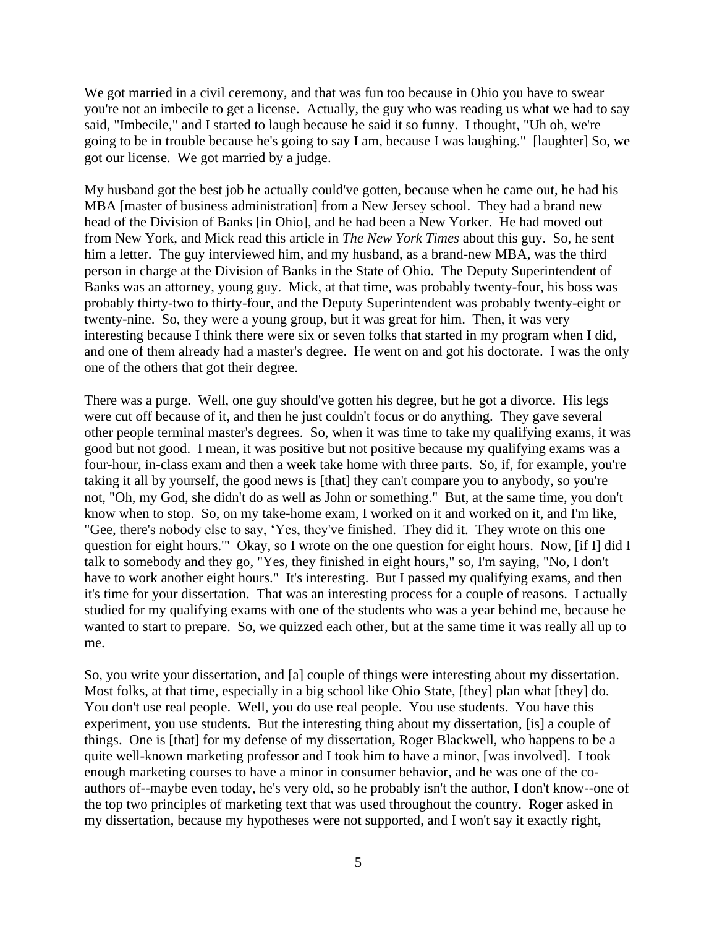We got married in a civil ceremony, and that was fun too because in Ohio you have to swear you're not an imbecile to get a license. Actually, the guy who was reading us what we had to say said, "Imbecile," and I started to laugh because he said it so funny. I thought, "Uh oh, we're going to be in trouble because he's going to say I am, because I was laughing." [laughter] So, we got our license. We got married by a judge.

My husband got the best job he actually could've gotten, because when he came out, he had his MBA [master of business administration] from a New Jersey school. They had a brand new head of the Division of Banks [in Ohio], and he had been a New Yorker. He had moved out from New York, and Mick read this article in *The New York Times* about this guy. So, he sent him a letter. The guy interviewed him, and my husband, as a brand-new MBA, was the third person in charge at the Division of Banks in the State of Ohio. The Deputy Superintendent of Banks was an attorney, young guy. Mick, at that time, was probably twenty-four, his boss was probably thirty-two to thirty-four, and the Deputy Superintendent was probably twenty-eight or twenty-nine. So, they were a young group, but it was great for him. Then, it was very interesting because I think there were six or seven folks that started in my program when I did, and one of them already had a master's degree. He went on and got his doctorate. I was the only one of the others that got their degree.

There was a purge. Well, one guy should've gotten his degree, but he got a divorce. His legs were cut off because of it, and then he just couldn't focus or do anything. They gave several other people terminal master's degrees. So, when it was time to take my qualifying exams, it was good but not good. I mean, it was positive but not positive because my qualifying exams was a four-hour, in-class exam and then a week take home with three parts. So, if, for example, you're taking it all by yourself, the good news is [that] they can't compare you to anybody, so you're not, "Oh, my God, she didn't do as well as John or something." But, at the same time, you don't know when to stop. So, on my take-home exam, I worked on it and worked on it, and I'm like, "Gee, there's nobody else to say, 'Yes, they've finished. They did it. They wrote on this one question for eight hours.'" Okay, so I wrote on the one question for eight hours. Now, [if I] did I talk to somebody and they go, "Yes, they finished in eight hours," so, I'm saying, "No, I don't have to work another eight hours." It's interesting. But I passed my qualifying exams, and then it's time for your dissertation. That was an interesting process for a couple of reasons. I actually studied for my qualifying exams with one of the students who was a year behind me, because he wanted to start to prepare. So, we quizzed each other, but at the same time it was really all up to me.

So, you write your dissertation, and [a] couple of things were interesting about my dissertation. Most folks, at that time, especially in a big school like Ohio State, [they] plan what [they] do. You don't use real people. Well, you do use real people. You use students. You have this experiment, you use students. But the interesting thing about my dissertation, [is] a couple of things. One is [that] for my defense of my dissertation, Roger Blackwell, who happens to be a quite well-known marketing professor and I took him to have a minor, [was involved]. I took enough marketing courses to have a minor in consumer behavior, and he was one of the coauthors of--maybe even today, he's very old, so he probably isn't the author, I don't know--one of the top two principles of marketing text that was used throughout the country. Roger asked in my dissertation, because my hypotheses were not supported, and I won't say it exactly right,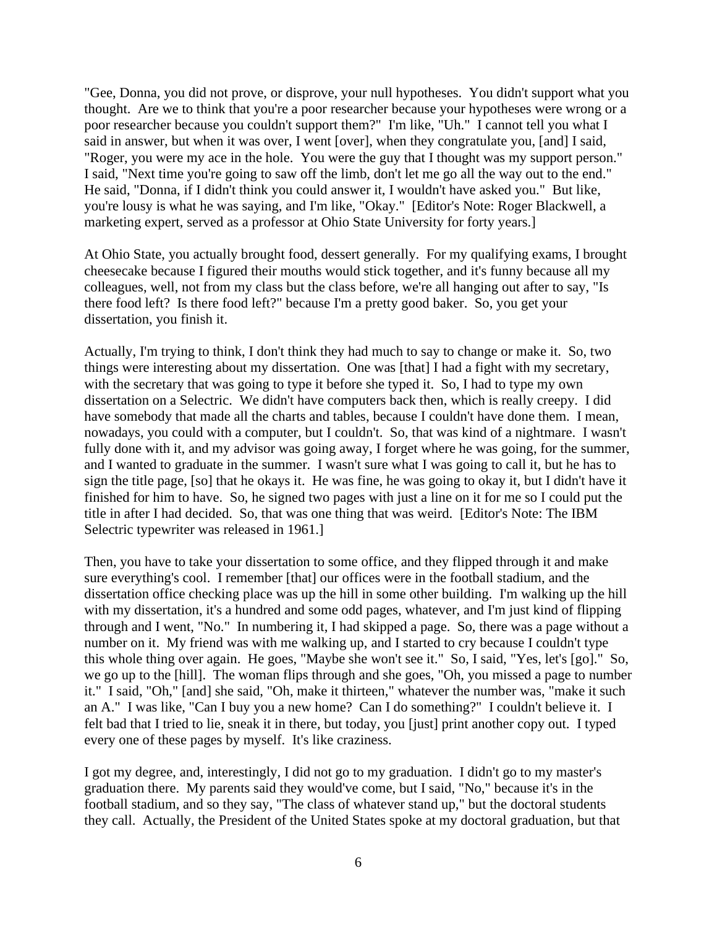"Gee, Donna, you did not prove, or disprove, your null hypotheses. You didn't support what you thought. Are we to think that you're a poor researcher because your hypotheses were wrong or a poor researcher because you couldn't support them?" I'm like, "Uh." I cannot tell you what I said in answer, but when it was over, I went [over], when they congratulate you, [and] I said, "Roger, you were my ace in the hole. You were the guy that I thought was my support person." I said, "Next time you're going to saw off the limb, don't let me go all the way out to the end." He said, "Donna, if I didn't think you could answer it, I wouldn't have asked you." But like, you're lousy is what he was saying, and I'm like, "Okay." [Editor's Note: Roger Blackwell, a marketing expert, served as a professor at Ohio State University for forty years.]

At Ohio State, you actually brought food, dessert generally. For my qualifying exams, I brought cheesecake because I figured their mouths would stick together, and it's funny because all my colleagues, well, not from my class but the class before, we're all hanging out after to say, "Is there food left? Is there food left?" because I'm a pretty good baker. So, you get your dissertation, you finish it.

Actually, I'm trying to think, I don't think they had much to say to change or make it. So, two things were interesting about my dissertation. One was [that] I had a fight with my secretary, with the secretary that was going to type it before she typed it. So, I had to type my own dissertation on a Selectric. We didn't have computers back then, which is really creepy. I did have somebody that made all the charts and tables, because I couldn't have done them. I mean, nowadays, you could with a computer, but I couldn't. So, that was kind of a nightmare. I wasn't fully done with it, and my advisor was going away, I forget where he was going, for the summer, and I wanted to graduate in the summer. I wasn't sure what I was going to call it, but he has to sign the title page, [so] that he okays it. He was fine, he was going to okay it, but I didn't have it finished for him to have. So, he signed two pages with just a line on it for me so I could put the title in after I had decided. So, that was one thing that was weird. [Editor's Note: The IBM Selectric typewriter was released in 1961.]

Then, you have to take your dissertation to some office, and they flipped through it and make sure everything's cool. I remember [that] our offices were in the football stadium, and the dissertation office checking place was up the hill in some other building. I'm walking up the hill with my dissertation, it's a hundred and some odd pages, whatever, and I'm just kind of flipping through and I went, "No." In numbering it, I had skipped a page. So, there was a page without a number on it. My friend was with me walking up, and I started to cry because I couldn't type this whole thing over again. He goes, "Maybe she won't see it." So, I said, "Yes, let's [go]." So, we go up to the [hill]. The woman flips through and she goes, "Oh, you missed a page to number it." I said, "Oh," [and] she said, "Oh, make it thirteen," whatever the number was, "make it such an A." I was like, "Can I buy you a new home? Can I do something?" I couldn't believe it. I felt bad that I tried to lie, sneak it in there, but today, you [just] print another copy out. I typed every one of these pages by myself. It's like craziness.

I got my degree, and, interestingly, I did not go to my graduation. I didn't go to my master's graduation there. My parents said they would've come, but I said, "No," because it's in the football stadium, and so they say, "The class of whatever stand up," but the doctoral students they call. Actually, the President of the United States spoke at my doctoral graduation, but that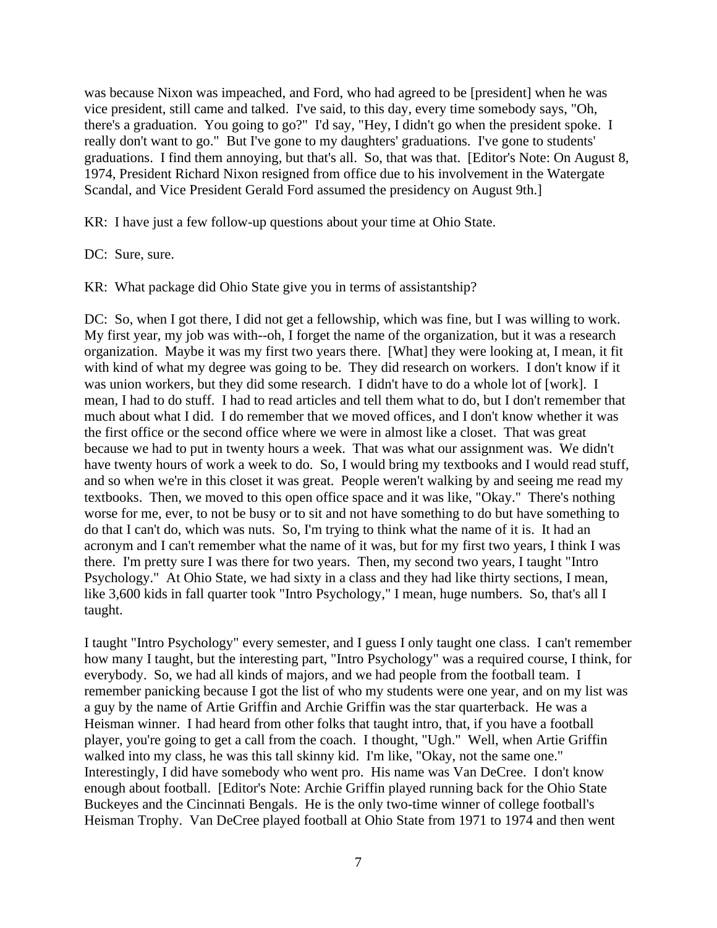was because Nixon was impeached, and Ford, who had agreed to be [president] when he was vice president, still came and talked. I've said, to this day, every time somebody says, "Oh, there's a graduation. You going to go?" I'd say, "Hey, I didn't go when the president spoke. I really don't want to go." But I've gone to my daughters' graduations. I've gone to students' graduations. I find them annoying, but that's all. So, that was that. [Editor's Note: On August 8, 1974, President Richard Nixon resigned from office due to his involvement in the Watergate Scandal, and Vice President Gerald Ford assumed the presidency on August 9th.]

KR: I have just a few follow-up questions about your time at Ohio State.

DC: Sure, sure.

KR: What package did Ohio State give you in terms of assistantship?

DC: So, when I got there, I did not get a fellowship, which was fine, but I was willing to work. My first year, my job was with--oh, I forget the name of the organization, but it was a research organization. Maybe it was my first two years there. [What] they were looking at, I mean, it fit with kind of what my degree was going to be. They did research on workers. I don't know if it was union workers, but they did some research. I didn't have to do a whole lot of [work]. I mean, I had to do stuff. I had to read articles and tell them what to do, but I don't remember that much about what I did. I do remember that we moved offices, and I don't know whether it was the first office or the second office where we were in almost like a closet. That was great because we had to put in twenty hours a week. That was what our assignment was. We didn't have twenty hours of work a week to do. So, I would bring my textbooks and I would read stuff, and so when we're in this closet it was great. People weren't walking by and seeing me read my textbooks. Then, we moved to this open office space and it was like, "Okay." There's nothing worse for me, ever, to not be busy or to sit and not have something to do but have something to do that I can't do, which was nuts. So, I'm trying to think what the name of it is. It had an acronym and I can't remember what the name of it was, but for my first two years, I think I was there. I'm pretty sure I was there for two years. Then, my second two years, I taught "Intro Psychology." At Ohio State, we had sixty in a class and they had like thirty sections, I mean, like 3,600 kids in fall quarter took "Intro Psychology," I mean, huge numbers. So, that's all I taught.

I taught "Intro Psychology" every semester, and I guess I only taught one class. I can't remember how many I taught, but the interesting part, "Intro Psychology" was a required course, I think, for everybody. So, we had all kinds of majors, and we had people from the football team. I remember panicking because I got the list of who my students were one year, and on my list was a guy by the name of Artie Griffin and Archie Griffin was the star quarterback. He was a Heisman winner. I had heard from other folks that taught intro, that, if you have a football player, you're going to get a call from the coach. I thought, "Ugh." Well, when Artie Griffin walked into my class, he was this tall skinny kid. I'm like, "Okay, not the same one." Interestingly, I did have somebody who went pro. His name was Van DeCree. I don't know enough about football. [Editor's Note: Archie Griffin played running back for the Ohio State Buckeyes and the Cincinnati Bengals. He is the only two-time winner of college football's Heisman Trophy. Van DeCree played football at Ohio State from 1971 to 1974 and then went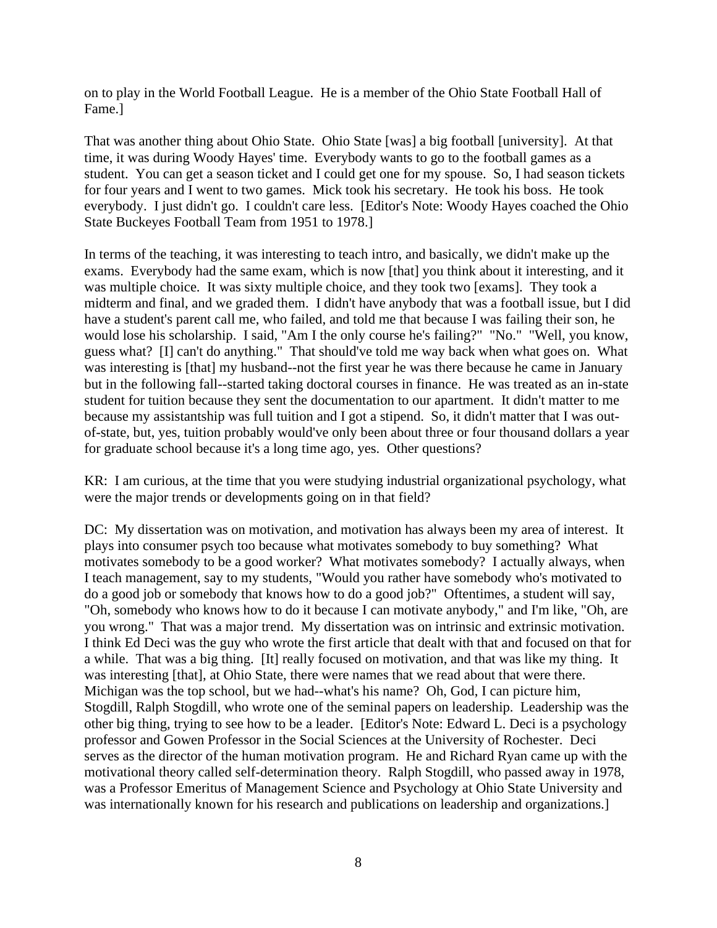on to play in the World Football League. He is a member of the Ohio State Football Hall of Fame.]

That was another thing about Ohio State. Ohio State [was] a big football [university]. At that time, it was during Woody Hayes' time. Everybody wants to go to the football games as a student. You can get a season ticket and I could get one for my spouse. So, I had season tickets for four years and I went to two games. Mick took his secretary. He took his boss. He took everybody. I just didn't go. I couldn't care less. [Editor's Note: Woody Hayes coached the Ohio State Buckeyes Football Team from 1951 to 1978.]

In terms of the teaching, it was interesting to teach intro, and basically, we didn't make up the exams. Everybody had the same exam, which is now [that] you think about it interesting, and it was multiple choice. It was sixty multiple choice, and they took two [exams]. They took a midterm and final, and we graded them. I didn't have anybody that was a football issue, but I did have a student's parent call me, who failed, and told me that because I was failing their son, he would lose his scholarship. I said, "Am I the only course he's failing?" "No." "Well, you know, guess what? [I] can't do anything." That should've told me way back when what goes on. What was interesting is [that] my husband--not the first year he was there because he came in January but in the following fall--started taking doctoral courses in finance. He was treated as an in-state student for tuition because they sent the documentation to our apartment. It didn't matter to me because my assistantship was full tuition and I got a stipend. So, it didn't matter that I was outof-state, but, yes, tuition probably would've only been about three or four thousand dollars a year for graduate school because it's a long time ago, yes. Other questions?

KR: I am curious, at the time that you were studying industrial organizational psychology, what were the major trends or developments going on in that field?

DC: My dissertation was on motivation, and motivation has always been my area of interest. It plays into consumer psych too because what motivates somebody to buy something? What motivates somebody to be a good worker? What motivates somebody? I actually always, when I teach management, say to my students, "Would you rather have somebody who's motivated to do a good job or somebody that knows how to do a good job?" Oftentimes, a student will say, "Oh, somebody who knows how to do it because I can motivate anybody," and I'm like, "Oh, are you wrong." That was a major trend. My dissertation was on intrinsic and extrinsic motivation. I think Ed Deci was the guy who wrote the first article that dealt with that and focused on that for a while. That was a big thing. [It] really focused on motivation, and that was like my thing. It was interesting [that], at Ohio State, there were names that we read about that were there. Michigan was the top school, but we had--what's his name? Oh, God, I can picture him, Stogdill, Ralph Stogdill, who wrote one of the seminal papers on leadership. Leadership was the other big thing, trying to see how to be a leader. [Editor's Note: Edward L. Deci is a psychology professor and Gowen Professor in the Social Sciences at the University of Rochester. Deci serves as the director of the human motivation program. He and Richard Ryan came up with the motivational theory called self-determination theory. Ralph Stogdill, who passed away in 1978, was a Professor Emeritus of Management Science and Psychology at Ohio State University and was internationally known for his research and publications on leadership and organizations.]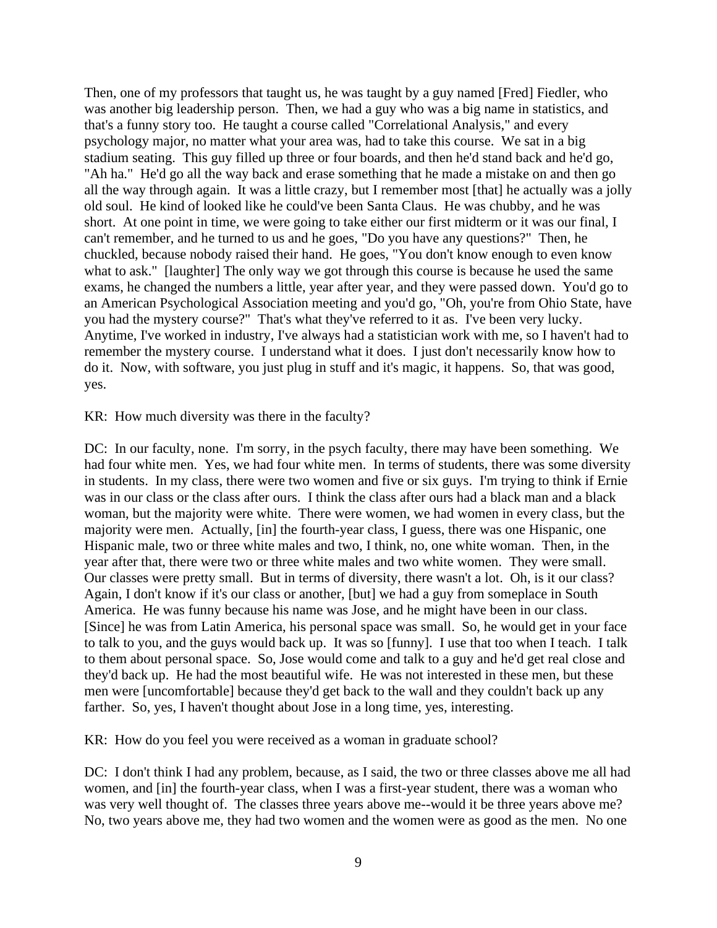Then, one of my professors that taught us, he was taught by a guy named [Fred] Fiedler, who was another big leadership person. Then, we had a guy who was a big name in statistics, and that's a funny story too. He taught a course called "Correlational Analysis," and every psychology major, no matter what your area was, had to take this course. We sat in a big stadium seating. This guy filled up three or four boards, and then he'd stand back and he'd go, "Ah ha." He'd go all the way back and erase something that he made a mistake on and then go all the way through again. It was a little crazy, but I remember most [that] he actually was a jolly old soul. He kind of looked like he could've been Santa Claus. He was chubby, and he was short. At one point in time, we were going to take either our first midterm or it was our final, I can't remember, and he turned to us and he goes, "Do you have any questions?" Then, he chuckled, because nobody raised their hand. He goes, "You don't know enough to even know what to ask." [laughter] The only way we got through this course is because he used the same exams, he changed the numbers a little, year after year, and they were passed down. You'd go to an American Psychological Association meeting and you'd go, "Oh, you're from Ohio State, have you had the mystery course?" That's what they've referred to it as. I've been very lucky. Anytime, I've worked in industry, I've always had a statistician work with me, so I haven't had to remember the mystery course. I understand what it does. I just don't necessarily know how to do it. Now, with software, you just plug in stuff and it's magic, it happens. So, that was good, yes.

KR: How much diversity was there in the faculty?

DC: In our faculty, none. I'm sorry, in the psych faculty, there may have been something. We had four white men. Yes, we had four white men. In terms of students, there was some diversity in students. In my class, there were two women and five or six guys. I'm trying to think if Ernie was in our class or the class after ours. I think the class after ours had a black man and a black woman, but the majority were white. There were women, we had women in every class, but the majority were men. Actually, [in] the fourth-year class, I guess, there was one Hispanic, one Hispanic male, two or three white males and two, I think, no, one white woman. Then, in the year after that, there were two or three white males and two white women. They were small. Our classes were pretty small. But in terms of diversity, there wasn't a lot. Oh, is it our class? Again, I don't know if it's our class or another, [but] we had a guy from someplace in South America. He was funny because his name was Jose, and he might have been in our class. [Since] he was from Latin America, his personal space was small. So, he would get in your face to talk to you, and the guys would back up. It was so [funny]. I use that too when I teach. I talk to them about personal space. So, Jose would come and talk to a guy and he'd get real close and they'd back up. He had the most beautiful wife. He was not interested in these men, but these men were [uncomfortable] because they'd get back to the wall and they couldn't back up any farther. So, yes, I haven't thought about Jose in a long time, yes, interesting.

KR: How do you feel you were received as a woman in graduate school?

DC: I don't think I had any problem, because, as I said, the two or three classes above me all had women, and [in] the fourth-year class, when I was a first-year student, there was a woman who was very well thought of. The classes three years above me--would it be three years above me? No, two years above me, they had two women and the women were as good as the men. No one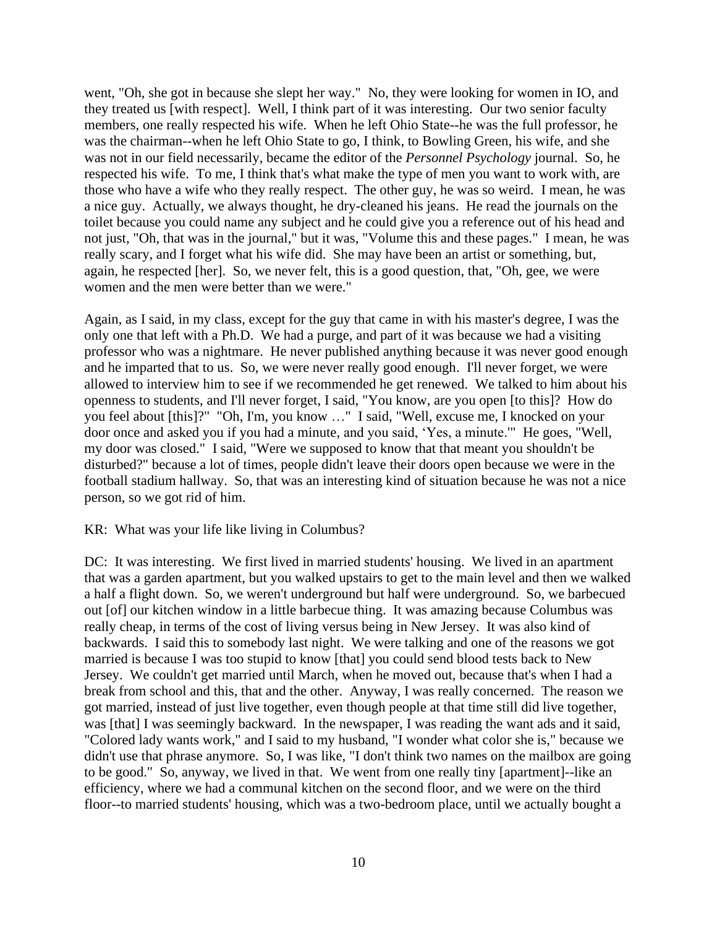went, "Oh, she got in because she slept her way." No, they were looking for women in IO, and they treated us [with respect]. Well, I think part of it was interesting. Our two senior faculty members, one really respected his wife. When he left Ohio State--he was the full professor, he was the chairman--when he left Ohio State to go, I think, to Bowling Green, his wife, and she was not in our field necessarily, became the editor of the *Personnel Psychology* journal. So, he respected his wife. To me, I think that's what make the type of men you want to work with, are those who have a wife who they really respect. The other guy, he was so weird. I mean, he was a nice guy. Actually, we always thought, he dry-cleaned his jeans. He read the journals on the toilet because you could name any subject and he could give you a reference out of his head and not just, "Oh, that was in the journal," but it was, "Volume this and these pages." I mean, he was really scary, and I forget what his wife did. She may have been an artist or something, but, again, he respected [her]. So, we never felt, this is a good question, that, "Oh, gee, we were women and the men were better than we were."

Again, as I said, in my class, except for the guy that came in with his master's degree, I was the only one that left with a Ph.D. We had a purge, and part of it was because we had a visiting professor who was a nightmare. He never published anything because it was never good enough and he imparted that to us. So, we were never really good enough. I'll never forget, we were allowed to interview him to see if we recommended he get renewed. We talked to him about his openness to students, and I'll never forget, I said, "You know, are you open [to this]? How do you feel about [this]?" "Oh, I'm, you know …" I said, "Well, excuse me, I knocked on your door once and asked you if you had a minute, and you said, 'Yes, a minute.'" He goes, "Well, my door was closed." I said, "Were we supposed to know that that meant you shouldn't be disturbed?" because a lot of times, people didn't leave their doors open because we were in the football stadium hallway. So, that was an interesting kind of situation because he was not a nice person, so we got rid of him.

#### KR: What was your life like living in Columbus?

DC: It was interesting. We first lived in married students' housing. We lived in an apartment that was a garden apartment, but you walked upstairs to get to the main level and then we walked a half a flight down. So, we weren't underground but half were underground. So, we barbecued out [of] our kitchen window in a little barbecue thing. It was amazing because Columbus was really cheap, in terms of the cost of living versus being in New Jersey. It was also kind of backwards. I said this to somebody last night. We were talking and one of the reasons we got married is because I was too stupid to know [that] you could send blood tests back to New Jersey. We couldn't get married until March, when he moved out, because that's when I had a break from school and this, that and the other. Anyway, I was really concerned. The reason we got married, instead of just live together, even though people at that time still did live together, was [that] I was seemingly backward. In the newspaper, I was reading the want ads and it said, "Colored lady wants work," and I said to my husband, "I wonder what color she is," because we didn't use that phrase anymore. So, I was like, "I don't think two names on the mailbox are going to be good." So, anyway, we lived in that. We went from one really tiny [apartment]--like an efficiency, where we had a communal kitchen on the second floor, and we were on the third floor--to married students' housing, which was a two-bedroom place, until we actually bought a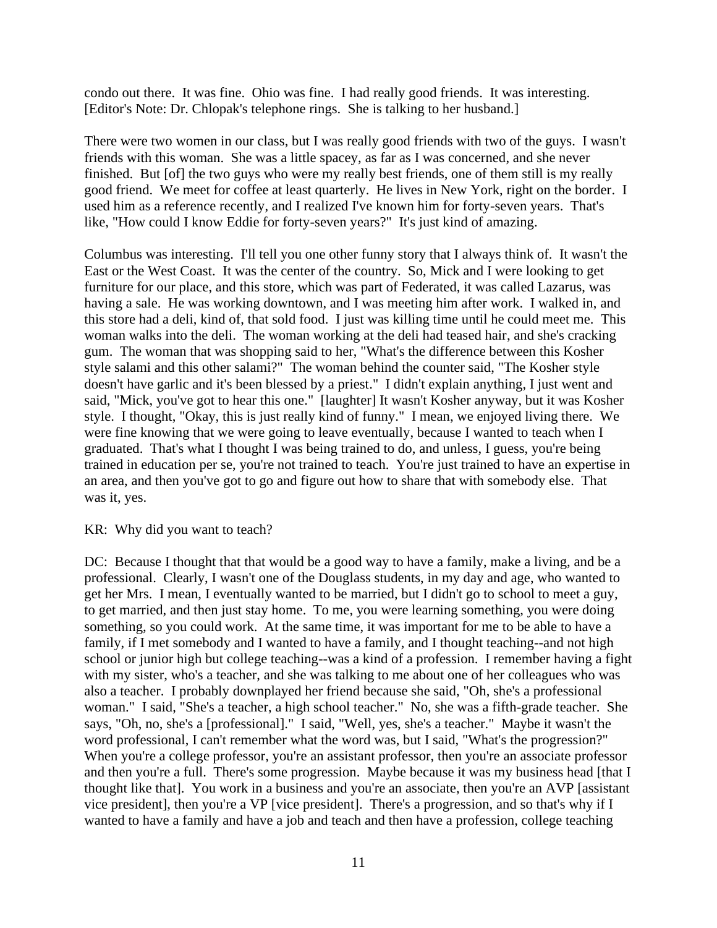condo out there. It was fine. Ohio was fine. I had really good friends. It was interesting. [Editor's Note: Dr. Chlopak's telephone rings. She is talking to her husband.]

There were two women in our class, but I was really good friends with two of the guys. I wasn't friends with this woman. She was a little spacey, as far as I was concerned, and she never finished. But [of] the two guys who were my really best friends, one of them still is my really good friend. We meet for coffee at least quarterly. He lives in New York, right on the border. I used him as a reference recently, and I realized I've known him for forty-seven years. That's like, "How could I know Eddie for forty-seven years?" It's just kind of amazing.

Columbus was interesting. I'll tell you one other funny story that I always think of. It wasn't the East or the West Coast. It was the center of the country. So, Mick and I were looking to get furniture for our place, and this store, which was part of Federated, it was called Lazarus, was having a sale. He was working downtown, and I was meeting him after work. I walked in, and this store had a deli, kind of, that sold food. I just was killing time until he could meet me. This woman walks into the deli. The woman working at the deli had teased hair, and she's cracking gum. The woman that was shopping said to her, "What's the difference between this Kosher style salami and this other salami?" The woman behind the counter said, "The Kosher style doesn't have garlic and it's been blessed by a priest." I didn't explain anything, I just went and said, "Mick, you've got to hear this one." [laughter] It wasn't Kosher anyway, but it was Kosher style. I thought, "Okay, this is just really kind of funny." I mean, we enjoyed living there. We were fine knowing that we were going to leave eventually, because I wanted to teach when I graduated. That's what I thought I was being trained to do, and unless, I guess, you're being trained in education per se, you're not trained to teach. You're just trained to have an expertise in an area, and then you've got to go and figure out how to share that with somebody else. That was it, yes.

#### KR: Why did you want to teach?

DC: Because I thought that that would be a good way to have a family, make a living, and be a professional. Clearly, I wasn't one of the Douglass students, in my day and age, who wanted to get her Mrs. I mean, I eventually wanted to be married, but I didn't go to school to meet a guy, to get married, and then just stay home. To me, you were learning something, you were doing something, so you could work. At the same time, it was important for me to be able to have a family, if I met somebody and I wanted to have a family, and I thought teaching--and not high school or junior high but college teaching--was a kind of a profession. I remember having a fight with my sister, who's a teacher, and she was talking to me about one of her colleagues who was also a teacher. I probably downplayed her friend because she said, "Oh, she's a professional woman." I said, "She's a teacher, a high school teacher." No, she was a fifth-grade teacher. She says, "Oh, no, she's a [professional]." I said, "Well, yes, she's a teacher." Maybe it wasn't the word professional, I can't remember what the word was, but I said, "What's the progression?" When you're a college professor, you're an assistant professor, then you're an associate professor and then you're a full. There's some progression. Maybe because it was my business head [that I] thought like that]. You work in a business and you're an associate, then you're an AVP [assistant vice president], then you're a VP [vice president]. There's a progression, and so that's why if I wanted to have a family and have a job and teach and then have a profession, college teaching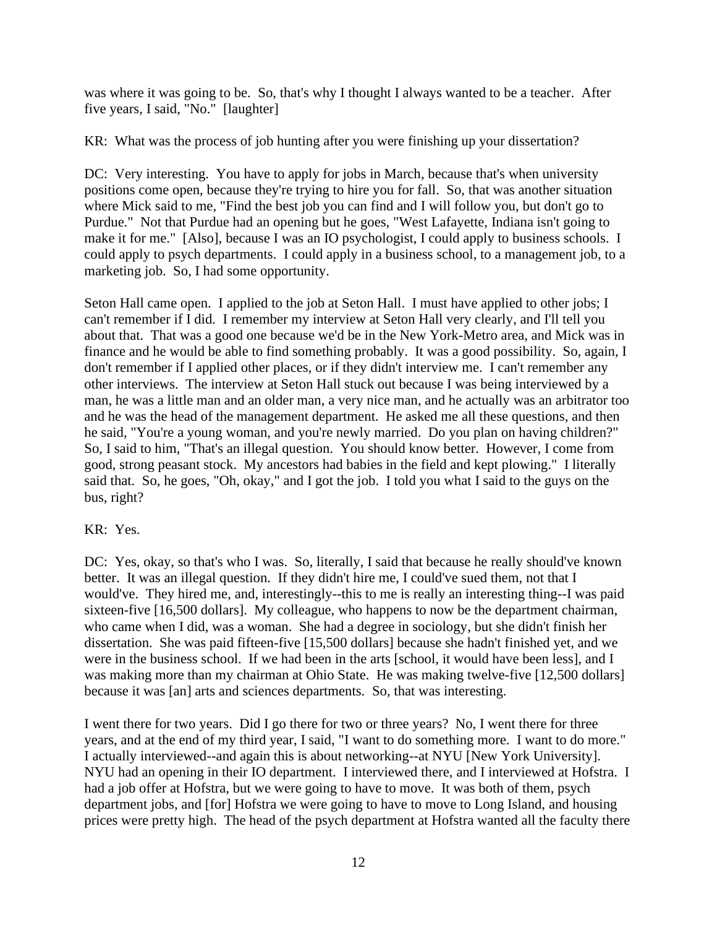was where it was going to be. So, that's why I thought I always wanted to be a teacher. After five years, I said, "No." [laughter]

KR: What was the process of job hunting after you were finishing up your dissertation?

DC: Very interesting. You have to apply for jobs in March, because that's when university positions come open, because they're trying to hire you for fall. So, that was another situation where Mick said to me, "Find the best job you can find and I will follow you, but don't go to Purdue." Not that Purdue had an opening but he goes, "West Lafayette, Indiana isn't going to make it for me." [Also], because I was an IO psychologist, I could apply to business schools. I could apply to psych departments. I could apply in a business school, to a management job, to a marketing job. So, I had some opportunity.

Seton Hall came open. I applied to the job at Seton Hall. I must have applied to other jobs; I can't remember if I did. I remember my interview at Seton Hall very clearly, and I'll tell you about that. That was a good one because we'd be in the New York-Metro area, and Mick was in finance and he would be able to find something probably. It was a good possibility. So, again, I don't remember if I applied other places, or if they didn't interview me. I can't remember any other interviews. The interview at Seton Hall stuck out because I was being interviewed by a man, he was a little man and an older man, a very nice man, and he actually was an arbitrator too and he was the head of the management department. He asked me all these questions, and then he said, "You're a young woman, and you're newly married. Do you plan on having children?" So, I said to him, "That's an illegal question. You should know better. However, I come from good, strong peasant stock. My ancestors had babies in the field and kept plowing." I literally said that. So, he goes, "Oh, okay," and I got the job. I told you what I said to the guys on the bus, right?

## KR: Yes.

DC: Yes, okay, so that's who I was. So, literally, I said that because he really should've known better. It was an illegal question. If they didn't hire me, I could've sued them, not that I would've. They hired me, and, interestingly--this to me is really an interesting thing--I was paid sixteen-five [16,500 dollars]. My colleague, who happens to now be the department chairman, who came when I did, was a woman. She had a degree in sociology, but she didn't finish her dissertation. She was paid fifteen-five [15,500 dollars] because she hadn't finished yet, and we were in the business school. If we had been in the arts [school, it would have been less], and I was making more than my chairman at Ohio State. He was making twelve-five [12,500 dollars] because it was [an] arts and sciences departments. So, that was interesting.

I went there for two years. Did I go there for two or three years? No, I went there for three years, and at the end of my third year, I said, "I want to do something more. I want to do more." I actually interviewed--and again this is about networking--at NYU [New York University]. NYU had an opening in their IO department. I interviewed there, and I interviewed at Hofstra. I had a job offer at Hofstra, but we were going to have to move. It was both of them, psych department jobs, and [for] Hofstra we were going to have to move to Long Island, and housing prices were pretty high. The head of the psych department at Hofstra wanted all the faculty there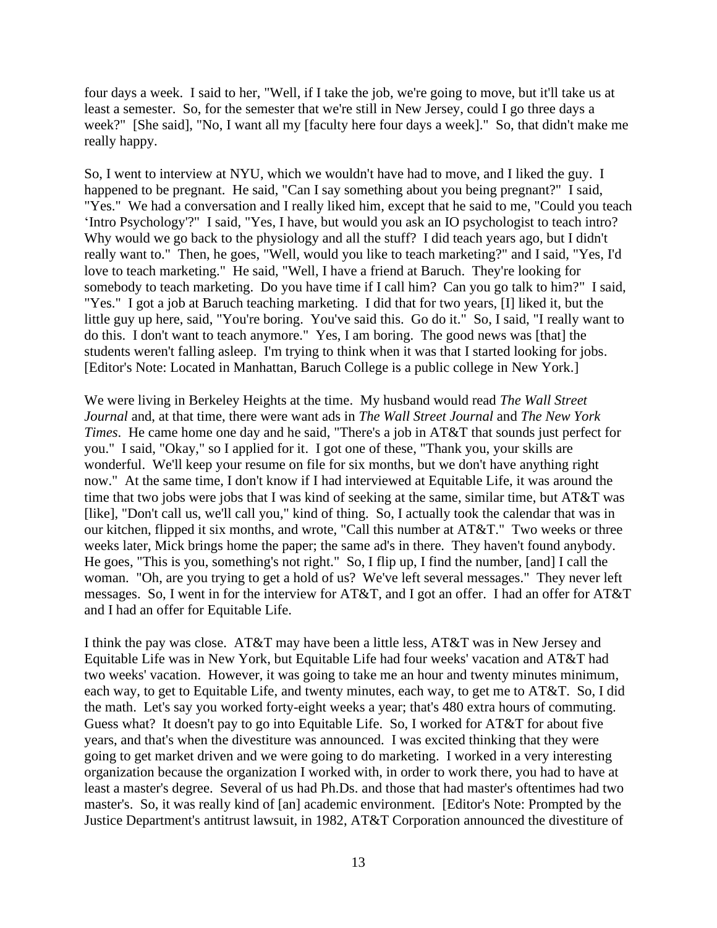four days a week. I said to her, "Well, if I take the job, we're going to move, but it'll take us at least a semester. So, for the semester that we're still in New Jersey, could I go three days a week?" [She said], "No, I want all my [faculty here four days a week]." So, that didn't make me really happy.

So, I went to interview at NYU, which we wouldn't have had to move, and I liked the guy. I happened to be pregnant. He said, "Can I say something about you being pregnant?" I said, "Yes." We had a conversation and I really liked him, except that he said to me, "Could you teach 'Intro Psychology'?" I said, "Yes, I have, but would you ask an IO psychologist to teach intro? Why would we go back to the physiology and all the stuff? I did teach years ago, but I didn't really want to." Then, he goes, "Well, would you like to teach marketing?" and I said, "Yes, I'd love to teach marketing." He said, "Well, I have a friend at Baruch. They're looking for somebody to teach marketing. Do you have time if I call him? Can you go talk to him?" I said, "Yes." I got a job at Baruch teaching marketing. I did that for two years, [I] liked it, but the little guy up here, said, "You're boring. You've said this. Go do it." So, I said, "I really want to do this. I don't want to teach anymore." Yes, I am boring. The good news was [that] the students weren't falling asleep. I'm trying to think when it was that I started looking for jobs. [Editor's Note: Located in Manhattan, Baruch College is a public college in New York.]

We were living in Berkeley Heights at the time. My husband would read *The Wall Street Journal* and, at that time, there were want ads in *The Wall Street Journal* and *The New York Times*. He came home one day and he said, "There's a job in AT&T that sounds just perfect for you." I said, "Okay," so I applied for it. I got one of these, "Thank you, your skills are wonderful. We'll keep your resume on file for six months, but we don't have anything right now." At the same time, I don't know if I had interviewed at Equitable Life, it was around the time that two jobs were jobs that I was kind of seeking at the same, similar time, but AT&T was [like], "Don't call us, we'll call you," kind of thing. So, I actually took the calendar that was in our kitchen, flipped it six months, and wrote, "Call this number at AT&T." Two weeks or three weeks later, Mick brings home the paper; the same ad's in there. They haven't found anybody. He goes, "This is you, something's not right." So, I flip up, I find the number, [and] I call the woman. "Oh, are you trying to get a hold of us? We've left several messages." They never left messages. So, I went in for the interview for AT&T, and I got an offer. I had an offer for AT&T and I had an offer for Equitable Life.

I think the pay was close. AT&T may have been a little less, AT&T was in New Jersey and Equitable Life was in New York, but Equitable Life had four weeks' vacation and AT&T had two weeks' vacation. However, it was going to take me an hour and twenty minutes minimum, each way, to get to Equitable Life, and twenty minutes, each way, to get me to AT&T. So, I did the math. Let's say you worked forty-eight weeks a year; that's 480 extra hours of commuting. Guess what? It doesn't pay to go into Equitable Life. So, I worked for AT&T for about five years, and that's when the divestiture was announced. I was excited thinking that they were going to get market driven and we were going to do marketing. I worked in a very interesting organization because the organization I worked with, in order to work there, you had to have at least a master's degree. Several of us had Ph.Ds. and those that had master's oftentimes had two master's. So, it was really kind of [an] academic environment. [Editor's Note: Prompted by the Justice Department's antitrust lawsuit, in 1982, AT&T Corporation announced the divestiture of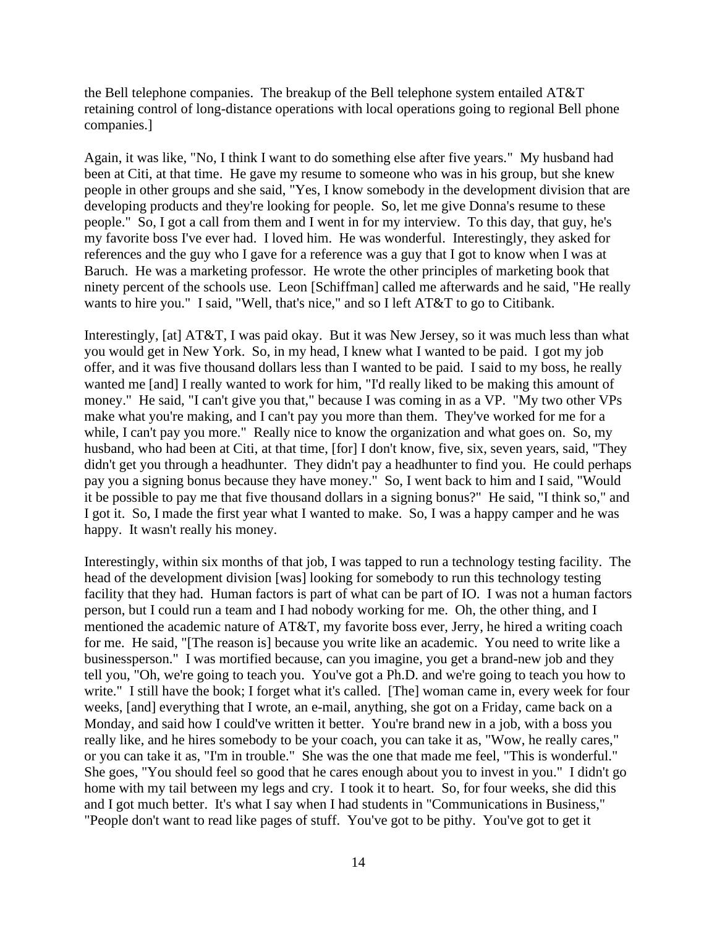the Bell telephone companies. The breakup of the Bell telephone system entailed AT&T retaining control of long-distance operations with local operations going to regional Bell phone companies.]

Again, it was like, "No, I think I want to do something else after five years." My husband had been at Citi, at that time. He gave my resume to someone who was in his group, but she knew people in other groups and she said, "Yes, I know somebody in the development division that are developing products and they're looking for people. So, let me give Donna's resume to these people." So, I got a call from them and I went in for my interview. To this day, that guy, he's my favorite boss I've ever had. I loved him. He was wonderful. Interestingly, they asked for references and the guy who I gave for a reference was a guy that I got to know when I was at Baruch. He was a marketing professor. He wrote the other principles of marketing book that ninety percent of the schools use. Leon [Schiffman] called me afterwards and he said, "He really wants to hire you." I said, "Well, that's nice," and so I left AT&T to go to Citibank.

Interestingly, [at] AT&T, I was paid okay. But it was New Jersey, so it was much less than what you would get in New York. So, in my head, I knew what I wanted to be paid. I got my job offer, and it was five thousand dollars less than I wanted to be paid. I said to my boss, he really wanted me [and] I really wanted to work for him, "I'd really liked to be making this amount of money." He said, "I can't give you that," because I was coming in as a VP. "My two other VPs make what you're making, and I can't pay you more than them. They've worked for me for a while, I can't pay you more." Really nice to know the organization and what goes on. So, my husband, who had been at Citi, at that time, [for] I don't know, five, six, seven years, said, "They didn't get you through a headhunter. They didn't pay a headhunter to find you. He could perhaps pay you a signing bonus because they have money." So, I went back to him and I said, "Would it be possible to pay me that five thousand dollars in a signing bonus?" He said, "I think so," and I got it. So, I made the first year what I wanted to make. So, I was a happy camper and he was happy. It wasn't really his money.

Interestingly, within six months of that job, I was tapped to run a technology testing facility. The head of the development division [was] looking for somebody to run this technology testing facility that they had. Human factors is part of what can be part of IO. I was not a human factors person, but I could run a team and I had nobody working for me. Oh, the other thing, and I mentioned the academic nature of AT&T, my favorite boss ever, Jerry, he hired a writing coach for me. He said, "[The reason is] because you write like an academic. You need to write like a businessperson." I was mortified because, can you imagine, you get a brand-new job and they tell you, "Oh, we're going to teach you. You've got a Ph.D. and we're going to teach you how to write." I still have the book; I forget what it's called. [The] woman came in, every week for four weeks, [and] everything that I wrote, an e-mail, anything, she got on a Friday, came back on a Monday, and said how I could've written it better. You're brand new in a job, with a boss you really like, and he hires somebody to be your coach, you can take it as, "Wow, he really cares," or you can take it as, "I'm in trouble." She was the one that made me feel, "This is wonderful." She goes, "You should feel so good that he cares enough about you to invest in you." I didn't go home with my tail between my legs and cry. I took it to heart. So, for four weeks, she did this and I got much better. It's what I say when I had students in "Communications in Business," "People don't want to read like pages of stuff. You've got to be pithy. You've got to get it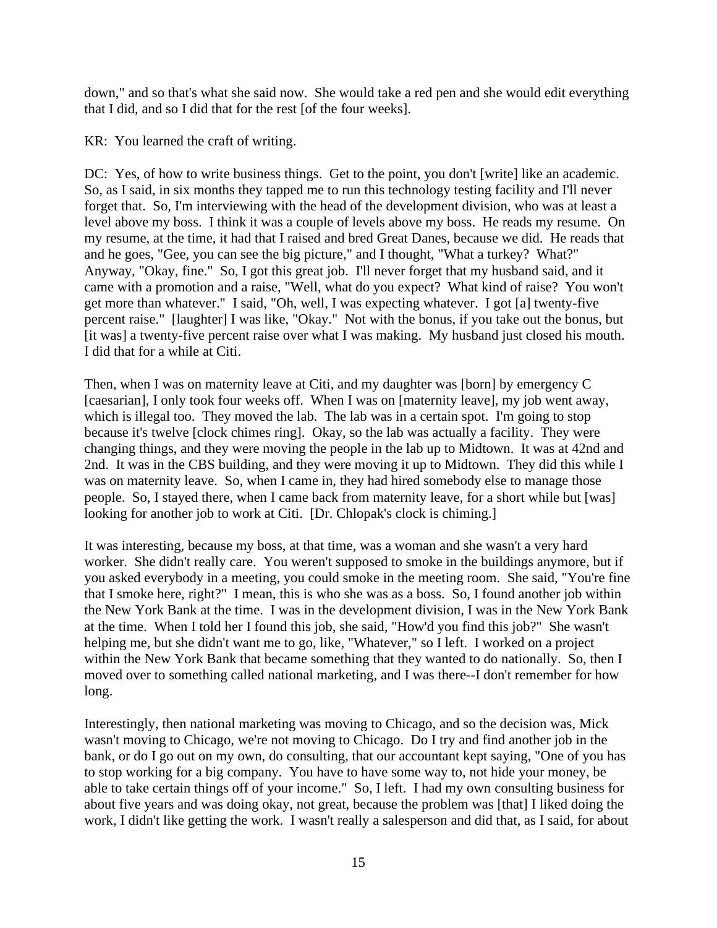down," and so that's what she said now. She would take a red pen and she would edit everything that I did, and so I did that for the rest [of the four weeks].

KR: You learned the craft of writing.

DC: Yes, of how to write business things. Get to the point, you don't [write] like an academic. So, as I said, in six months they tapped me to run this technology testing facility and I'll never forget that. So, I'm interviewing with the head of the development division, who was at least a level above my boss. I think it was a couple of levels above my boss. He reads my resume. On my resume, at the time, it had that I raised and bred Great Danes, because we did. He reads that and he goes, "Gee, you can see the big picture," and I thought, "What a turkey? What?" Anyway, "Okay, fine." So, I got this great job. I'll never forget that my husband said, and it came with a promotion and a raise, "Well, what do you expect? What kind of raise? You won't get more than whatever." I said, "Oh, well, I was expecting whatever. I got [a] twenty-five percent raise." [laughter] I was like, "Okay." Not with the bonus, if you take out the bonus, but [it was] a twenty-five percent raise over what I was making. My husband just closed his mouth. I did that for a while at Citi.

Then, when I was on maternity leave at Citi, and my daughter was [born] by emergency C [caesarian], I only took four weeks off. When I was on [maternity leave], my job went away, which is illegal too. They moved the lab. The lab was in a certain spot. I'm going to stop because it's twelve [clock chimes ring]. Okay, so the lab was actually a facility. They were changing things, and they were moving the people in the lab up to Midtown. It was at 42nd and 2nd. It was in the CBS building, and they were moving it up to Midtown. They did this while I was on maternity leave. So, when I came in, they had hired somebody else to manage those people. So, I stayed there, when I came back from maternity leave, for a short while but [was] looking for another job to work at Citi. [Dr. Chlopak's clock is chiming.]

It was interesting, because my boss, at that time, was a woman and she wasn't a very hard worker. She didn't really care. You weren't supposed to smoke in the buildings anymore, but if you asked everybody in a meeting, you could smoke in the meeting room. She said, "You're fine that I smoke here, right?" I mean, this is who she was as a boss. So, I found another job within the New York Bank at the time. I was in the development division, I was in the New York Bank at the time. When I told her I found this job, she said, "How'd you find this job?" She wasn't helping me, but she didn't want me to go, like, "Whatever," so I left. I worked on a project within the New York Bank that became something that they wanted to do nationally. So, then I moved over to something called national marketing, and I was there--I don't remember for how long.

Interestingly, then national marketing was moving to Chicago, and so the decision was, Mick wasn't moving to Chicago, we're not moving to Chicago. Do I try and find another job in the bank, or do I go out on my own, do consulting, that our accountant kept saying, "One of you has to stop working for a big company. You have to have some way to, not hide your money, be able to take certain things off of your income." So, I left. I had my own consulting business for about five years and was doing okay, not great, because the problem was [that] I liked doing the work, I didn't like getting the work. I wasn't really a salesperson and did that, as I said, for about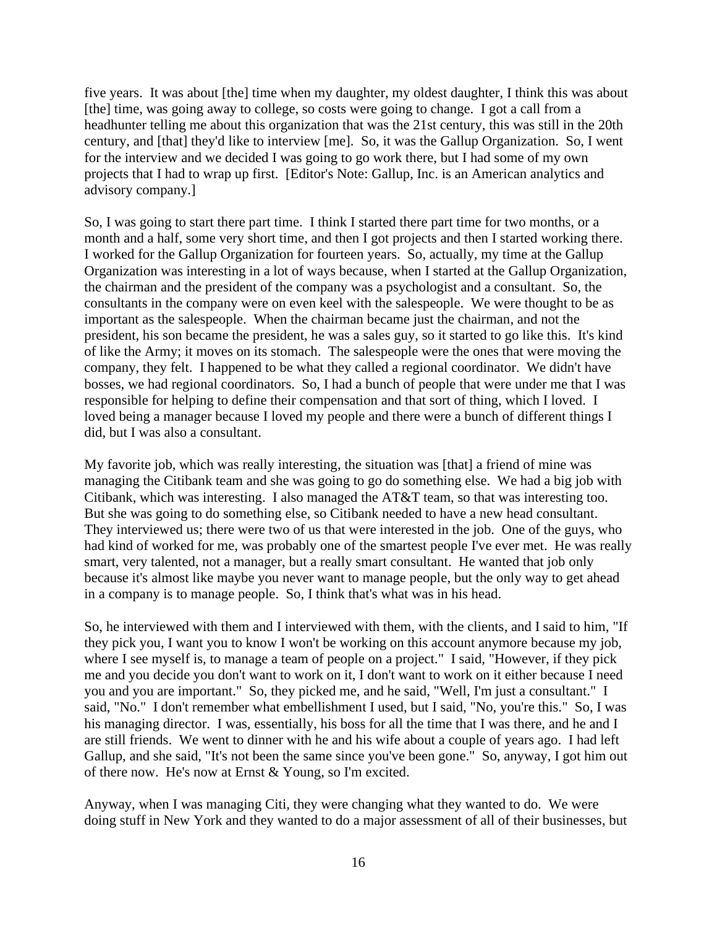five years. It was about [the] time when my daughter, my oldest daughter, I think this was about [the] time, was going away to college, so costs were going to change. I got a call from a headhunter telling me about this organization that was the 21st century, this was still in the 20th century, and [that] they'd like to interview [me]. So, it was the Gallup Organization. So, I went for the interview and we decided I was going to go work there, but I had some of my own projects that I had to wrap up first. [Editor's Note: Gallup, Inc. is an American analytics and advisory company.]

So, I was going to start there part time. I think I started there part time for two months, or a month and a half, some very short time, and then I got projects and then I started working there. I worked for the Gallup Organization for fourteen years. So, actually, my time at the Gallup Organization was interesting in a lot of ways because, when I started at the Gallup Organization, the chairman and the president of the company was a psychologist and a consultant. So, the consultants in the company were on even keel with the salespeople. We were thought to be as important as the salespeople. When the chairman became just the chairman, and not the president, his son became the president, he was a sales guy, so it started to go like this. It's kind of like the Army; it moves on its stomach. The salespeople were the ones that were moving the company, they felt. I happened to be what they called a regional coordinator. We didn't have bosses, we had regional coordinators. So, I had a bunch of people that were under me that I was responsible for helping to define their compensation and that sort of thing, which I loved. I loved being a manager because I loved my people and there were a bunch of different things I did, but I was also a consultant.

My favorite job, which was really interesting, the situation was [that] a friend of mine was managing the Citibank team and she was going to go do something else. We had a big job with Citibank, which was interesting. I also managed the AT&T team, so that was interesting too. But she was going to do something else, so Citibank needed to have a new head consultant. They interviewed us; there were two of us that were interested in the job. One of the guys, who had kind of worked for me, was probably one of the smartest people I've ever met. He was really smart, very talented, not a manager, but a really smart consultant. He wanted that job only because it's almost like maybe you never want to manage people, but the only way to get ahead in a company is to manage people. So, I think that's what was in his head.

So, he interviewed with them and I interviewed with them, with the clients, and I said to him, "If they pick you, I want you to know I won't be working on this account anymore because my job, where I see myself is, to manage a team of people on a project." I said, "However, if they pick me and you decide you don't want to work on it, I don't want to work on it either because I need you and you are important." So, they picked me, and he said, "Well, I'm just a consultant." I said, "No." I don't remember what embellishment I used, but I said, "No, you're this." So, I was his managing director. I was, essentially, his boss for all the time that I was there, and he and I are still friends. We went to dinner with he and his wife about a couple of years ago. I had left Gallup, and she said, "It's not been the same since you've been gone." So, anyway, I got him out of there now. He's now at Ernst & Young, so I'm excited.

Anyway, when I was managing Citi, they were changing what they wanted to do. We were doing stuff in New York and they wanted to do a major assessment of all of their businesses, but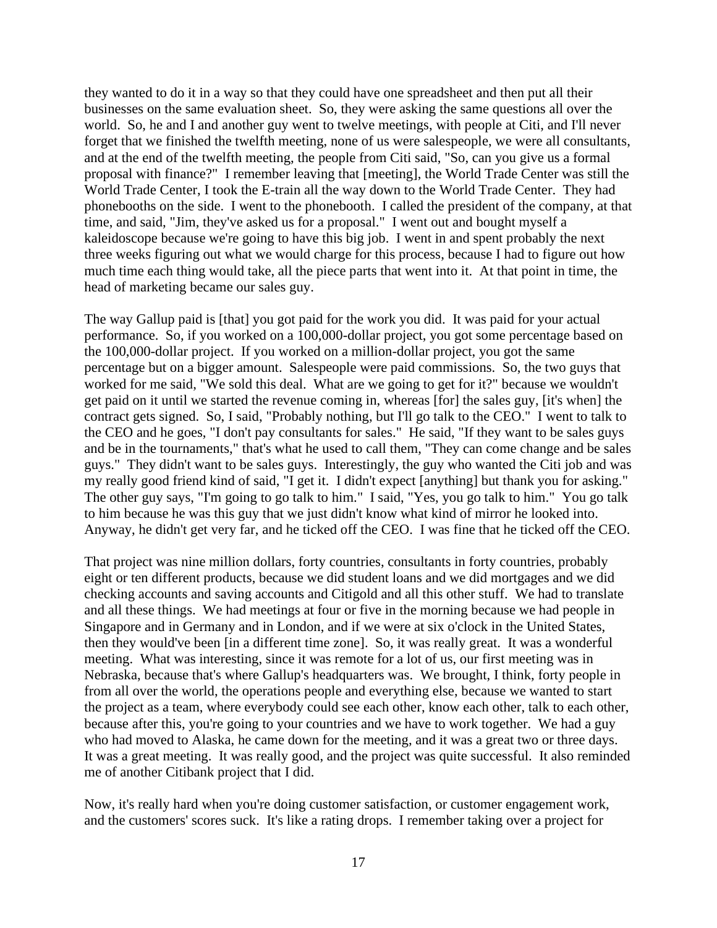they wanted to do it in a way so that they could have one spreadsheet and then put all their businesses on the same evaluation sheet. So, they were asking the same questions all over the world. So, he and I and another guy went to twelve meetings, with people at Citi, and I'll never forget that we finished the twelfth meeting, none of us were salespeople, we were all consultants, and at the end of the twelfth meeting, the people from Citi said, "So, can you give us a formal proposal with finance?" I remember leaving that [meeting], the World Trade Center was still the World Trade Center, I took the E-train all the way down to the World Trade Center. They had phonebooths on the side. I went to the phonebooth. I called the president of the company, at that time, and said, "Jim, they've asked us for a proposal." I went out and bought myself a kaleidoscope because we're going to have this big job. I went in and spent probably the next three weeks figuring out what we would charge for this process, because I had to figure out how much time each thing would take, all the piece parts that went into it. At that point in time, the head of marketing became our sales guy.

The way Gallup paid is [that] you got paid for the work you did. It was paid for your actual performance. So, if you worked on a 100,000-dollar project, you got some percentage based on the 100,000-dollar project. If you worked on a million-dollar project, you got the same percentage but on a bigger amount. Salespeople were paid commissions. So, the two guys that worked for me said, "We sold this deal. What are we going to get for it?" because we wouldn't get paid on it until we started the revenue coming in, whereas [for] the sales guy, [it's when] the contract gets signed. So, I said, "Probably nothing, but I'll go talk to the CEO." I went to talk to the CEO and he goes, "I don't pay consultants for sales." He said, "If they want to be sales guys and be in the tournaments," that's what he used to call them, "They can come change and be sales guys." They didn't want to be sales guys. Interestingly, the guy who wanted the Citi job and was my really good friend kind of said, "I get it. I didn't expect [anything] but thank you for asking." The other guy says, "I'm going to go talk to him." I said, "Yes, you go talk to him." You go talk to him because he was this guy that we just didn't know what kind of mirror he looked into. Anyway, he didn't get very far, and he ticked off the CEO. I was fine that he ticked off the CEO.

That project was nine million dollars, forty countries, consultants in forty countries, probably eight or ten different products, because we did student loans and we did mortgages and we did checking accounts and saving accounts and Citigold and all this other stuff. We had to translate and all these things. We had meetings at four or five in the morning because we had people in Singapore and in Germany and in London, and if we were at six o'clock in the United States, then they would've been [in a different time zone]. So, it was really great. It was a wonderful meeting. What was interesting, since it was remote for a lot of us, our first meeting was in Nebraska, because that's where Gallup's headquarters was. We brought, I think, forty people in from all over the world, the operations people and everything else, because we wanted to start the project as a team, where everybody could see each other, know each other, talk to each other, because after this, you're going to your countries and we have to work together. We had a guy who had moved to Alaska, he came down for the meeting, and it was a great two or three days. It was a great meeting. It was really good, and the project was quite successful. It also reminded me of another Citibank project that I did.

Now, it's really hard when you're doing customer satisfaction, or customer engagement work, and the customers' scores suck. It's like a rating drops. I remember taking over a project for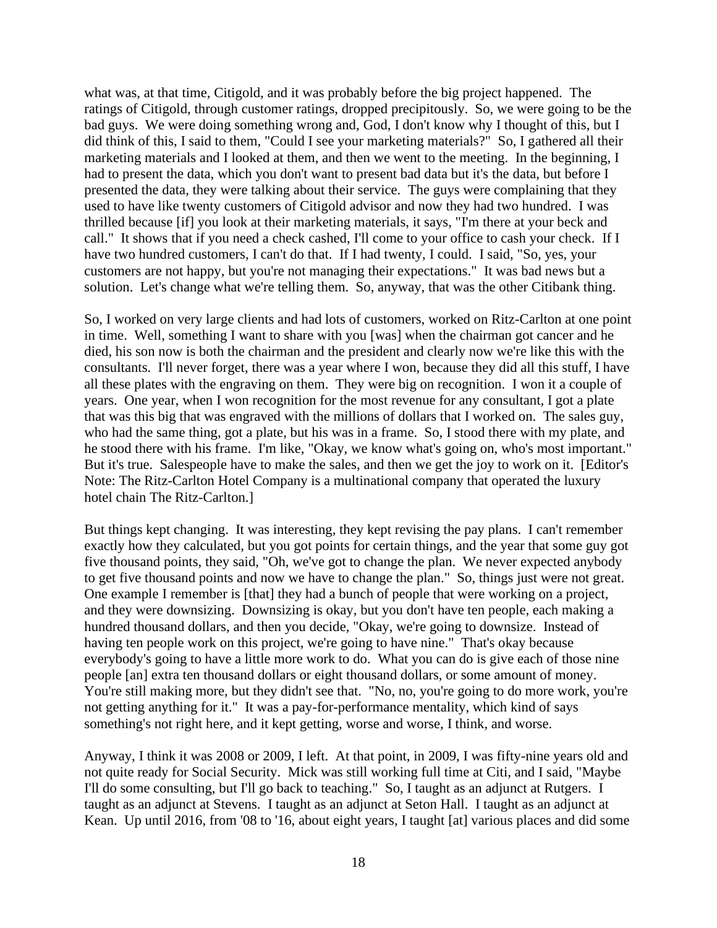what was, at that time, Citigold, and it was probably before the big project happened. The ratings of Citigold, through customer ratings, dropped precipitously. So, we were going to be the bad guys. We were doing something wrong and, God, I don't know why I thought of this, but I did think of this, I said to them, "Could I see your marketing materials?" So, I gathered all their marketing materials and I looked at them, and then we went to the meeting. In the beginning, I had to present the data, which you don't want to present bad data but it's the data, but before I presented the data, they were talking about their service. The guys were complaining that they used to have like twenty customers of Citigold advisor and now they had two hundred. I was thrilled because [if] you look at their marketing materials, it says, "I'm there at your beck and call." It shows that if you need a check cashed, I'll come to your office to cash your check. If I have two hundred customers, I can't do that. If I had twenty, I could. I said, "So, yes, your customers are not happy, but you're not managing their expectations." It was bad news but a solution. Let's change what we're telling them. So, anyway, that was the other Citibank thing.

So, I worked on very large clients and had lots of customers, worked on Ritz-Carlton at one point in time. Well, something I want to share with you [was] when the chairman got cancer and he died, his son now is both the chairman and the president and clearly now we're like this with the consultants. I'll never forget, there was a year where I won, because they did all this stuff, I have all these plates with the engraving on them. They were big on recognition. I won it a couple of years. One year, when I won recognition for the most revenue for any consultant, I got a plate that was this big that was engraved with the millions of dollars that I worked on. The sales guy, who had the same thing, got a plate, but his was in a frame. So, I stood there with my plate, and he stood there with his frame. I'm like, "Okay, we know what's going on, who's most important." But it's true. Salespeople have to make the sales, and then we get the joy to work on it. [Editor's Note: The Ritz-Carlton Hotel Company is a multinational company that operated the luxury hotel chain The Ritz-Carlton.]

But things kept changing. It was interesting, they kept revising the pay plans. I can't remember exactly how they calculated, but you got points for certain things, and the year that some guy got five thousand points, they said, "Oh, we've got to change the plan. We never expected anybody to get five thousand points and now we have to change the plan." So, things just were not great. One example I remember is [that] they had a bunch of people that were working on a project, and they were downsizing. Downsizing is okay, but you don't have ten people, each making a hundred thousand dollars, and then you decide, "Okay, we're going to downsize. Instead of having ten people work on this project, we're going to have nine." That's okay because everybody's going to have a little more work to do. What you can do is give each of those nine people [an] extra ten thousand dollars or eight thousand dollars, or some amount of money. You're still making more, but they didn't see that. "No, no, you're going to do more work, you're not getting anything for it." It was a pay-for-performance mentality, which kind of says something's not right here, and it kept getting, worse and worse, I think, and worse.

Anyway, I think it was 2008 or 2009, I left. At that point, in 2009, I was fifty-nine years old and not quite ready for Social Security. Mick was still working full time at Citi, and I said, "Maybe I'll do some consulting, but I'll go back to teaching." So, I taught as an adjunct at Rutgers. I taught as an adjunct at Stevens. I taught as an adjunct at Seton Hall. I taught as an adjunct at Kean. Up until 2016, from '08 to '16, about eight years, I taught [at] various places and did some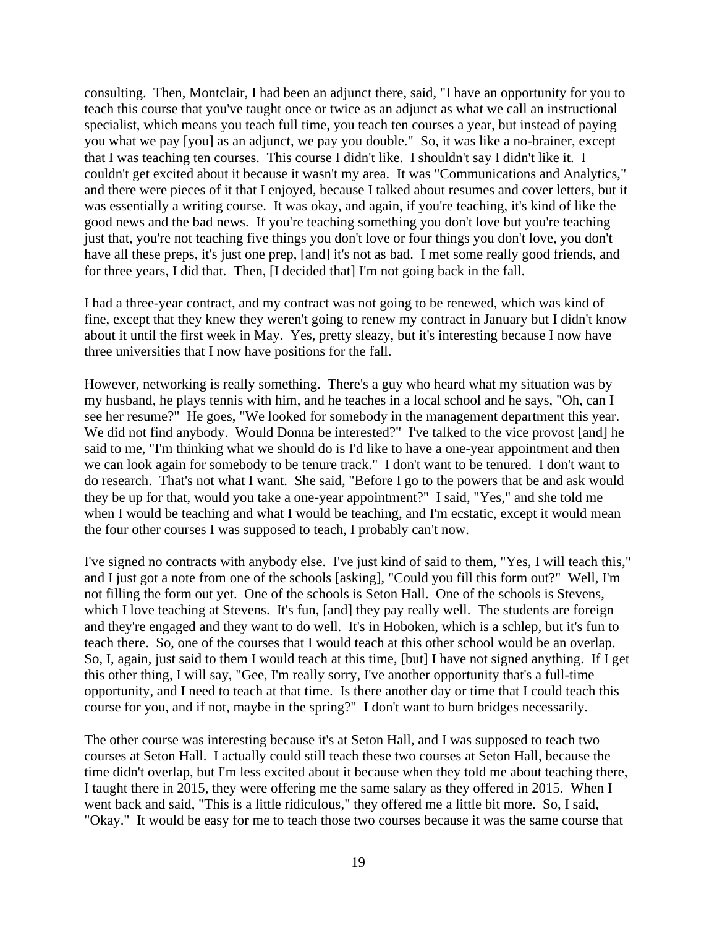consulting. Then, Montclair, I had been an adjunct there, said, "I have an opportunity for you to teach this course that you've taught once or twice as an adjunct as what we call an instructional specialist, which means you teach full time, you teach ten courses a year, but instead of paying you what we pay [you] as an adjunct, we pay you double." So, it was like a no-brainer, except that I was teaching ten courses. This course I didn't like. I shouldn't say I didn't like it. I couldn't get excited about it because it wasn't my area. It was "Communications and Analytics," and there were pieces of it that I enjoyed, because I talked about resumes and cover letters, but it was essentially a writing course. It was okay, and again, if you're teaching, it's kind of like the good news and the bad news. If you're teaching something you don't love but you're teaching just that, you're not teaching five things you don't love or four things you don't love, you don't have all these preps, it's just one prep, [and] it's not as bad. I met some really good friends, and for three years, I did that. Then, [I decided that] I'm not going back in the fall.

I had a three-year contract, and my contract was not going to be renewed, which was kind of fine, except that they knew they weren't going to renew my contract in January but I didn't know about it until the first week in May. Yes, pretty sleazy, but it's interesting because I now have three universities that I now have positions for the fall.

However, networking is really something. There's a guy who heard what my situation was by my husband, he plays tennis with him, and he teaches in a local school and he says, "Oh, can I see her resume?" He goes, "We looked for somebody in the management department this year. We did not find anybody. Would Donna be interested?" I've talked to the vice provost [and] he said to me, "I'm thinking what we should do is I'd like to have a one-year appointment and then we can look again for somebody to be tenure track." I don't want to be tenured. I don't want to do research. That's not what I want. She said, "Before I go to the powers that be and ask would they be up for that, would you take a one-year appointment?" I said, "Yes," and she told me when I would be teaching and what I would be teaching, and I'm ecstatic, except it would mean the four other courses I was supposed to teach, I probably can't now.

I've signed no contracts with anybody else. I've just kind of said to them, "Yes, I will teach this," and I just got a note from one of the schools [asking], "Could you fill this form out?" Well, I'm not filling the form out yet. One of the schools is Seton Hall. One of the schools is Stevens, which I love teaching at Stevens. It's fun, [and] they pay really well. The students are foreign and they're engaged and they want to do well. It's in Hoboken, which is a schlep, but it's fun to teach there. So, one of the courses that I would teach at this other school would be an overlap. So, I, again, just said to them I would teach at this time, [but] I have not signed anything. If I get this other thing, I will say, "Gee, I'm really sorry, I've another opportunity that's a full-time opportunity, and I need to teach at that time. Is there another day or time that I could teach this course for you, and if not, maybe in the spring?" I don't want to burn bridges necessarily.

The other course was interesting because it's at Seton Hall, and I was supposed to teach two courses at Seton Hall. I actually could still teach these two courses at Seton Hall, because the time didn't overlap, but I'm less excited about it because when they told me about teaching there, I taught there in 2015, they were offering me the same salary as they offered in 2015. When I went back and said, "This is a little ridiculous," they offered me a little bit more. So, I said, "Okay." It would be easy for me to teach those two courses because it was the same course that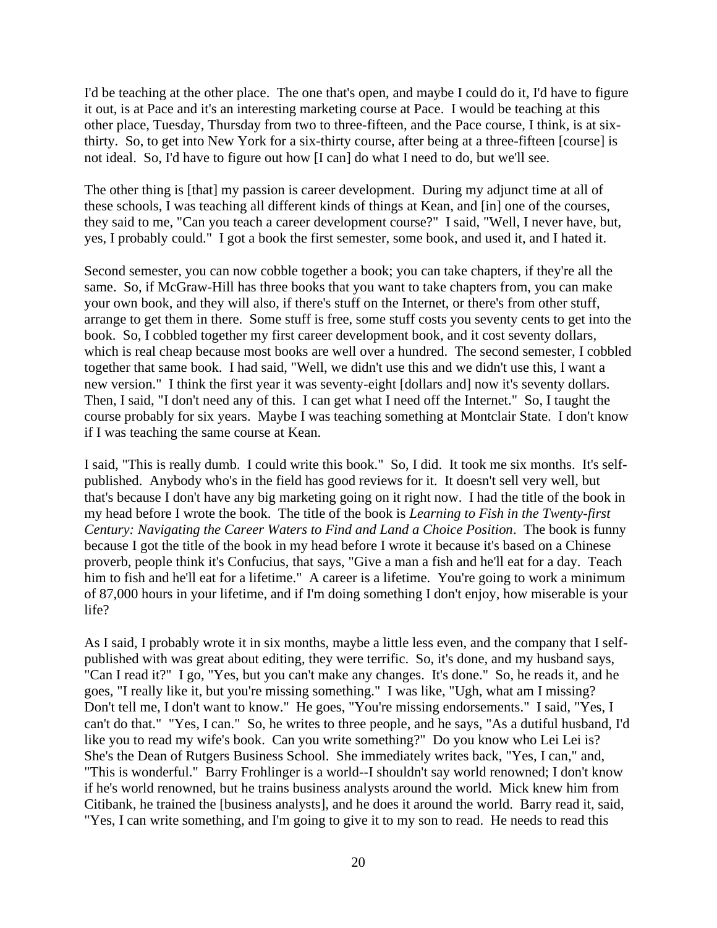I'd be teaching at the other place. The one that's open, and maybe I could do it, I'd have to figure it out, is at Pace and it's an interesting marketing course at Pace. I would be teaching at this other place, Tuesday, Thursday from two to three-fifteen, and the Pace course, I think, is at sixthirty. So, to get into New York for a six-thirty course, after being at a three-fifteen [course] is not ideal. So, I'd have to figure out how [I can] do what I need to do, but we'll see.

The other thing is [that] my passion is career development. During my adjunct time at all of these schools, I was teaching all different kinds of things at Kean, and [in] one of the courses, they said to me, "Can you teach a career development course?" I said, "Well, I never have, but, yes, I probably could." I got a book the first semester, some book, and used it, and I hated it.

Second semester, you can now cobble together a book; you can take chapters, if they're all the same. So, if McGraw-Hill has three books that you want to take chapters from, you can make your own book, and they will also, if there's stuff on the Internet, or there's from other stuff, arrange to get them in there. Some stuff is free, some stuff costs you seventy cents to get into the book. So, I cobbled together my first career development book, and it cost seventy dollars, which is real cheap because most books are well over a hundred. The second semester, I cobbled together that same book. I had said, "Well, we didn't use this and we didn't use this, I want a new version." I think the first year it was seventy-eight [dollars and] now it's seventy dollars. Then, I said, "I don't need any of this. I can get what I need off the Internet." So, I taught the course probably for six years. Maybe I was teaching something at Montclair State. I don't know if I was teaching the same course at Kean.

I said, "This is really dumb. I could write this book." So, I did. It took me six months. It's selfpublished. Anybody who's in the field has good reviews for it. It doesn't sell very well, but that's because I don't have any big marketing going on it right now. I had the title of the book in my head before I wrote the book. The title of the book is *Learning to Fish in the Twenty-first Century: Navigating the Career Waters to Find and Land a Choice Position*. The book is funny because I got the title of the book in my head before I wrote it because it's based on a Chinese proverb, people think it's Confucius, that says, "Give a man a fish and he'll eat for a day. Teach him to fish and he'll eat for a lifetime." A career is a lifetime. You're going to work a minimum of 87,000 hours in your lifetime, and if I'm doing something I don't enjoy, how miserable is your life?

As I said, I probably wrote it in six months, maybe a little less even, and the company that I selfpublished with was great about editing, they were terrific. So, it's done, and my husband says, "Can I read it?" I go, "Yes, but you can't make any changes. It's done." So, he reads it, and he goes, "I really like it, but you're missing something." I was like, "Ugh, what am I missing? Don't tell me, I don't want to know." He goes, "You're missing endorsements." I said, "Yes, I can't do that." "Yes, I can." So, he writes to three people, and he says, "As a dutiful husband, I'd like you to read my wife's book. Can you write something?" Do you know who Lei Lei is? She's the Dean of Rutgers Business School. She immediately writes back, "Yes, I can," and, "This is wonderful." Barry Frohlinger is a world--I shouldn't say world renowned; I don't know if he's world renowned, but he trains business analysts around the world. Mick knew him from Citibank, he trained the [business analysts], and he does it around the world. Barry read it, said, "Yes, I can write something, and I'm going to give it to my son to read. He needs to read this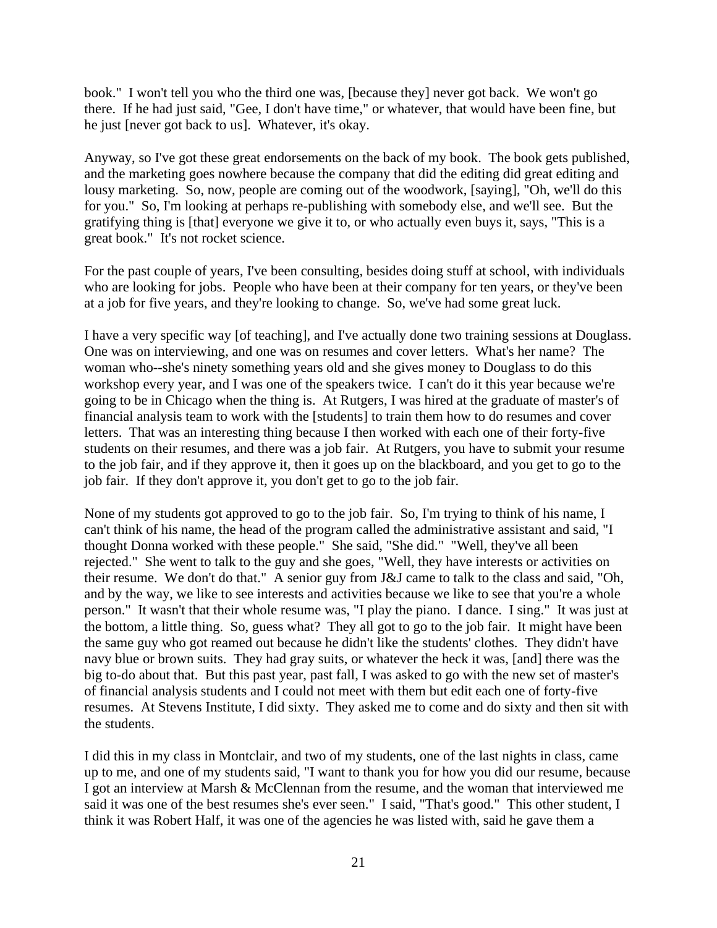book." I won't tell you who the third one was, [because they] never got back. We won't go there. If he had just said, "Gee, I don't have time," or whatever, that would have been fine, but he just [never got back to us]. Whatever, it's okay.

Anyway, so I've got these great endorsements on the back of my book. The book gets published, and the marketing goes nowhere because the company that did the editing did great editing and lousy marketing. So, now, people are coming out of the woodwork, [saying], "Oh, we'll do this for you." So, I'm looking at perhaps re-publishing with somebody else, and we'll see. But the gratifying thing is [that] everyone we give it to, or who actually even buys it, says, "This is a great book." It's not rocket science.

For the past couple of years, I've been consulting, besides doing stuff at school, with individuals who are looking for jobs. People who have been at their company for ten years, or they've been at a job for five years, and they're looking to change. So, we've had some great luck.

I have a very specific way [of teaching], and I've actually done two training sessions at Douglass. One was on interviewing, and one was on resumes and cover letters. What's her name? The woman who--she's ninety something years old and she gives money to Douglass to do this workshop every year, and I was one of the speakers twice. I can't do it this year because we're going to be in Chicago when the thing is. At Rutgers, I was hired at the graduate of master's of financial analysis team to work with the [students] to train them how to do resumes and cover letters. That was an interesting thing because I then worked with each one of their forty-five students on their resumes, and there was a job fair. At Rutgers, you have to submit your resume to the job fair, and if they approve it, then it goes up on the blackboard, and you get to go to the job fair. If they don't approve it, you don't get to go to the job fair.

None of my students got approved to go to the job fair. So, I'm trying to think of his name, I can't think of his name, the head of the program called the administrative assistant and said, "I thought Donna worked with these people." She said, "She did." "Well, they've all been rejected." She went to talk to the guy and she goes, "Well, they have interests or activities on their resume. We don't do that." A senior guy from J&J came to talk to the class and said, "Oh, and by the way, we like to see interests and activities because we like to see that you're a whole person." It wasn't that their whole resume was, "I play the piano. I dance. I sing." It was just at the bottom, a little thing. So, guess what? They all got to go to the job fair. It might have been the same guy who got reamed out because he didn't like the students' clothes. They didn't have navy blue or brown suits. They had gray suits, or whatever the heck it was, [and] there was the big to-do about that. But this past year, past fall, I was asked to go with the new set of master's of financial analysis students and I could not meet with them but edit each one of forty-five resumes. At Stevens Institute, I did sixty. They asked me to come and do sixty and then sit with the students.

I did this in my class in Montclair, and two of my students, one of the last nights in class, came up to me, and one of my students said, "I want to thank you for how you did our resume, because I got an interview at Marsh & McClennan from the resume, and the woman that interviewed me said it was one of the best resumes she's ever seen." I said, "That's good." This other student, I think it was Robert Half, it was one of the agencies he was listed with, said he gave them a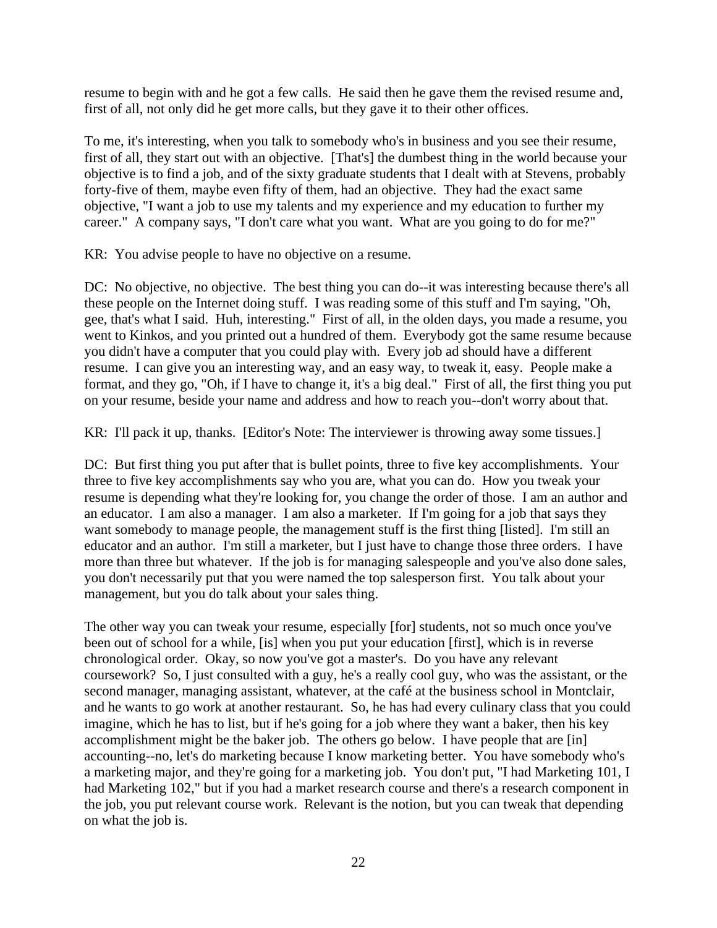resume to begin with and he got a few calls. He said then he gave them the revised resume and, first of all, not only did he get more calls, but they gave it to their other offices.

To me, it's interesting, when you talk to somebody who's in business and you see their resume, first of all, they start out with an objective. [That's] the dumbest thing in the world because your objective is to find a job, and of the sixty graduate students that I dealt with at Stevens, probably forty-five of them, maybe even fifty of them, had an objective. They had the exact same objective, "I want a job to use my talents and my experience and my education to further my career." A company says, "I don't care what you want. What are you going to do for me?"

KR: You advise people to have no objective on a resume.

DC: No objective, no objective. The best thing you can do--it was interesting because there's all these people on the Internet doing stuff. I was reading some of this stuff and I'm saying, "Oh, gee, that's what I said. Huh, interesting." First of all, in the olden days, you made a resume, you went to Kinkos, and you printed out a hundred of them. Everybody got the same resume because you didn't have a computer that you could play with. Every job ad should have a different resume. I can give you an interesting way, and an easy way, to tweak it, easy. People make a format, and they go, "Oh, if I have to change it, it's a big deal." First of all, the first thing you put on your resume, beside your name and address and how to reach you--don't worry about that.

KR: I'll pack it up, thanks. [Editor's Note: The interviewer is throwing away some tissues.]

DC: But first thing you put after that is bullet points, three to five key accomplishments. Your three to five key accomplishments say who you are, what you can do. How you tweak your resume is depending what they're looking for, you change the order of those. I am an author and an educator. I am also a manager. I am also a marketer. If I'm going for a job that says they want somebody to manage people, the management stuff is the first thing [listed]. I'm still an educator and an author. I'm still a marketer, but I just have to change those three orders. I have more than three but whatever. If the job is for managing salespeople and you've also done sales, you don't necessarily put that you were named the top salesperson first. You talk about your management, but you do talk about your sales thing.

The other way you can tweak your resume, especially [for] students, not so much once you've been out of school for a while, [is] when you put your education [first], which is in reverse chronological order. Okay, so now you've got a master's. Do you have any relevant coursework? So, I just consulted with a guy, he's a really cool guy, who was the assistant, or the second manager, managing assistant, whatever, at the café at the business school in Montclair, and he wants to go work at another restaurant. So, he has had every culinary class that you could imagine, which he has to list, but if he's going for a job where they want a baker, then his key accomplishment might be the baker job. The others go below. I have people that are [in] accounting--no, let's do marketing because I know marketing better. You have somebody who's a marketing major, and they're going for a marketing job. You don't put, "I had Marketing 101, I had Marketing 102," but if you had a market research course and there's a research component in the job, you put relevant course work. Relevant is the notion, but you can tweak that depending on what the job is.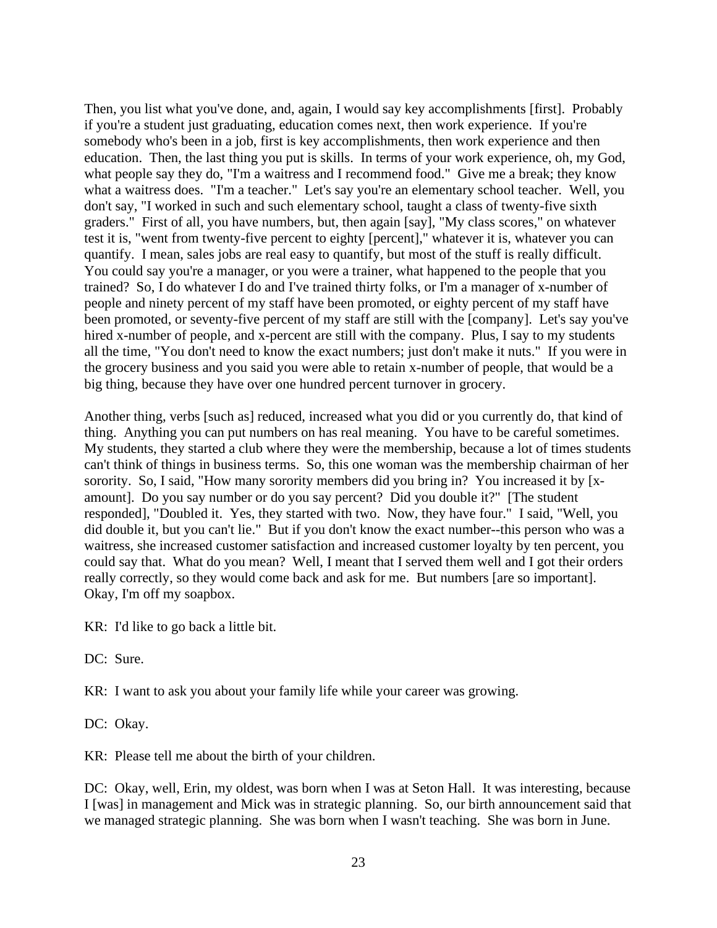Then, you list what you've done, and, again, I would say key accomplishments [first]. Probably if you're a student just graduating, education comes next, then work experience. If you're somebody who's been in a job, first is key accomplishments, then work experience and then education. Then, the last thing you put is skills. In terms of your work experience, oh, my God, what people say they do, "I'm a waitress and I recommend food." Give me a break; they know what a waitress does. "I'm a teacher." Let's say you're an elementary school teacher. Well, you don't say, "I worked in such and such elementary school, taught a class of twenty-five sixth graders." First of all, you have numbers, but, then again [say], "My class scores," on whatever test it is, "went from twenty-five percent to eighty [percent]," whatever it is, whatever you can quantify. I mean, sales jobs are real easy to quantify, but most of the stuff is really difficult. You could say you're a manager, or you were a trainer, what happened to the people that you trained? So, I do whatever I do and I've trained thirty folks, or I'm a manager of x-number of people and ninety percent of my staff have been promoted, or eighty percent of my staff have been promoted, or seventy-five percent of my staff are still with the [company]. Let's say you've hired x-number of people, and x-percent are still with the company. Plus, I say to my students all the time, "You don't need to know the exact numbers; just don't make it nuts." If you were in the grocery business and you said you were able to retain x-number of people, that would be a big thing, because they have over one hundred percent turnover in grocery.

Another thing, verbs [such as] reduced, increased what you did or you currently do, that kind of thing. Anything you can put numbers on has real meaning. You have to be careful sometimes. My students, they started a club where they were the membership, because a lot of times students can't think of things in business terms. So, this one woman was the membership chairman of her sorority. So, I said, "How many sorority members did you bring in? You increased it by [xamount]. Do you say number or do you say percent? Did you double it?" [The student responded], "Doubled it. Yes, they started with two. Now, they have four." I said, "Well, you did double it, but you can't lie." But if you don't know the exact number--this person who was a waitress, she increased customer satisfaction and increased customer loyalty by ten percent, you could say that. What do you mean? Well, I meant that I served them well and I got their orders really correctly, so they would come back and ask for me. But numbers [are so important]. Okay, I'm off my soapbox.

KR: I'd like to go back a little bit.

DC: Sure.

KR: I want to ask you about your family life while your career was growing.

DC: Okay.

KR: Please tell me about the birth of your children.

DC: Okay, well, Erin, my oldest, was born when I was at Seton Hall. It was interesting, because I [was] in management and Mick was in strategic planning. So, our birth announcement said that we managed strategic planning. She was born when I wasn't teaching. She was born in June.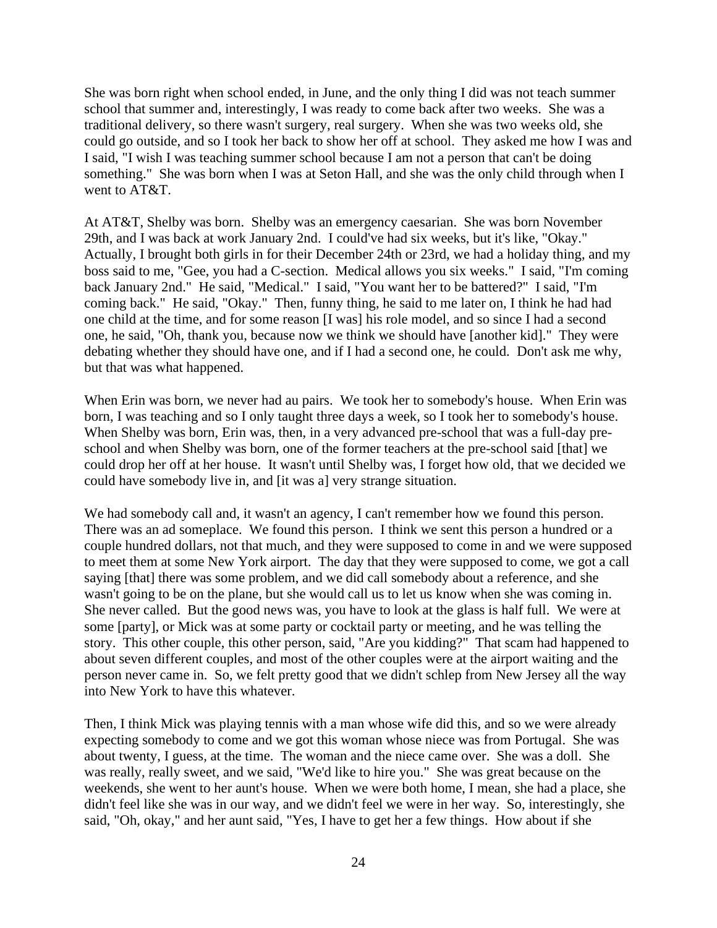She was born right when school ended, in June, and the only thing I did was not teach summer school that summer and, interestingly, I was ready to come back after two weeks. She was a traditional delivery, so there wasn't surgery, real surgery. When she was two weeks old, she could go outside, and so I took her back to show her off at school. They asked me how I was and I said, "I wish I was teaching summer school because I am not a person that can't be doing something." She was born when I was at Seton Hall, and she was the only child through when I went to AT&T.

At AT&T, Shelby was born. Shelby was an emergency caesarian. She was born November 29th, and I was back at work January 2nd. I could've had six weeks, but it's like, "Okay." Actually, I brought both girls in for their December 24th or 23rd, we had a holiday thing, and my boss said to me, "Gee, you had a C-section. Medical allows you six weeks." I said, "I'm coming back January 2nd." He said, "Medical." I said, "You want her to be battered?" I said, "I'm coming back." He said, "Okay." Then, funny thing, he said to me later on, I think he had had one child at the time, and for some reason [I was] his role model, and so since I had a second one, he said, "Oh, thank you, because now we think we should have [another kid]." They were debating whether they should have one, and if I had a second one, he could. Don't ask me why, but that was what happened.

When Erin was born, we never had au pairs. We took her to somebody's house. When Erin was born, I was teaching and so I only taught three days a week, so I took her to somebody's house. When Shelby was born, Erin was, then, in a very advanced pre-school that was a full-day preschool and when Shelby was born, one of the former teachers at the pre-school said [that] we could drop her off at her house. It wasn't until Shelby was, I forget how old, that we decided we could have somebody live in, and [it was a] very strange situation.

We had somebody call and, it wasn't an agency, I can't remember how we found this person. There was an ad someplace. We found this person. I think we sent this person a hundred or a couple hundred dollars, not that much, and they were supposed to come in and we were supposed to meet them at some New York airport. The day that they were supposed to come, we got a call saying [that] there was some problem, and we did call somebody about a reference, and she wasn't going to be on the plane, but she would call us to let us know when she was coming in. She never called. But the good news was, you have to look at the glass is half full. We were at some [party], or Mick was at some party or cocktail party or meeting, and he was telling the story. This other couple, this other person, said, "Are you kidding?" That scam had happened to about seven different couples, and most of the other couples were at the airport waiting and the person never came in. So, we felt pretty good that we didn't schlep from New Jersey all the way into New York to have this whatever.

Then, I think Mick was playing tennis with a man whose wife did this, and so we were already expecting somebody to come and we got this woman whose niece was from Portugal. She was about twenty, I guess, at the time. The woman and the niece came over. She was a doll. She was really, really sweet, and we said, "We'd like to hire you." She was great because on the weekends, she went to her aunt's house. When we were both home, I mean, she had a place, she didn't feel like she was in our way, and we didn't feel we were in her way. So, interestingly, she said, "Oh, okay," and her aunt said, "Yes, I have to get her a few things. How about if she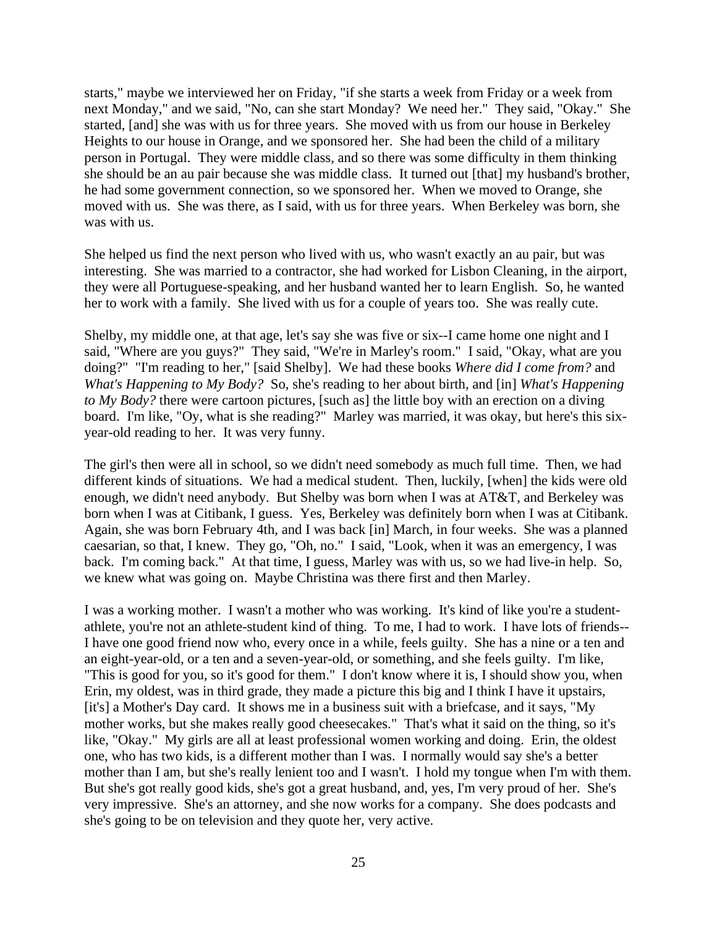starts," maybe we interviewed her on Friday, "if she starts a week from Friday or a week from next Monday," and we said, "No, can she start Monday? We need her." They said, "Okay." She started, [and] she was with us for three years. She moved with us from our house in Berkeley Heights to our house in Orange, and we sponsored her. She had been the child of a military person in Portugal. They were middle class, and so there was some difficulty in them thinking she should be an au pair because she was middle class. It turned out [that] my husband's brother, he had some government connection, so we sponsored her. When we moved to Orange, she moved with us. She was there, as I said, with us for three years. When Berkeley was born, she was with us.

She helped us find the next person who lived with us, who wasn't exactly an au pair, but was interesting. She was married to a contractor, she had worked for Lisbon Cleaning, in the airport, they were all Portuguese-speaking, and her husband wanted her to learn English. So, he wanted her to work with a family. She lived with us for a couple of years too. She was really cute.

Shelby, my middle one, at that age, let's say she was five or six--I came home one night and I said, "Where are you guys?" They said, "We're in Marley's room." I said, "Okay, what are you doing?" "I'm reading to her," [said Shelby]. We had these books *Where did I come from?* and *What's Happening to My Body?* So, she's reading to her about birth, and [in] *What's Happening to My Body?* there were cartoon pictures, [such as] the little boy with an erection on a diving board. I'm like, "Oy, what is she reading?" Marley was married, it was okay, but here's this sixyear-old reading to her. It was very funny.

The girl's then were all in school, so we didn't need somebody as much full time. Then, we had different kinds of situations. We had a medical student. Then, luckily, [when] the kids were old enough, we didn't need anybody. But Shelby was born when I was at AT&T, and Berkeley was born when I was at Citibank, I guess. Yes, Berkeley was definitely born when I was at Citibank. Again, she was born February 4th, and I was back [in] March, in four weeks. She was a planned caesarian, so that, I knew. They go, "Oh, no." I said, "Look, when it was an emergency, I was back. I'm coming back." At that time, I guess, Marley was with us, so we had live-in help. So, we knew what was going on. Maybe Christina was there first and then Marley.

I was a working mother. I wasn't a mother who was working. It's kind of like you're a studentathlete, you're not an athlete-student kind of thing. To me, I had to work. I have lots of friends-- I have one good friend now who, every once in a while, feels guilty. She has a nine or a ten and an eight-year-old, or a ten and a seven-year-old, or something, and she feels guilty. I'm like, "This is good for you, so it's good for them." I don't know where it is, I should show you, when Erin, my oldest, was in third grade, they made a picture this big and I think I have it upstairs, [it's] a Mother's Day card. It shows me in a business suit with a briefcase, and it says, "My mother works, but she makes really good cheesecakes." That's what it said on the thing, so it's like, "Okay." My girls are all at least professional women working and doing. Erin, the oldest one, who has two kids, is a different mother than I was. I normally would say she's a better mother than I am, but she's really lenient too and I wasn't. I hold my tongue when I'm with them. But she's got really good kids, she's got a great husband, and, yes, I'm very proud of her. She's very impressive. She's an attorney, and she now works for a company. She does podcasts and she's going to be on television and they quote her, very active.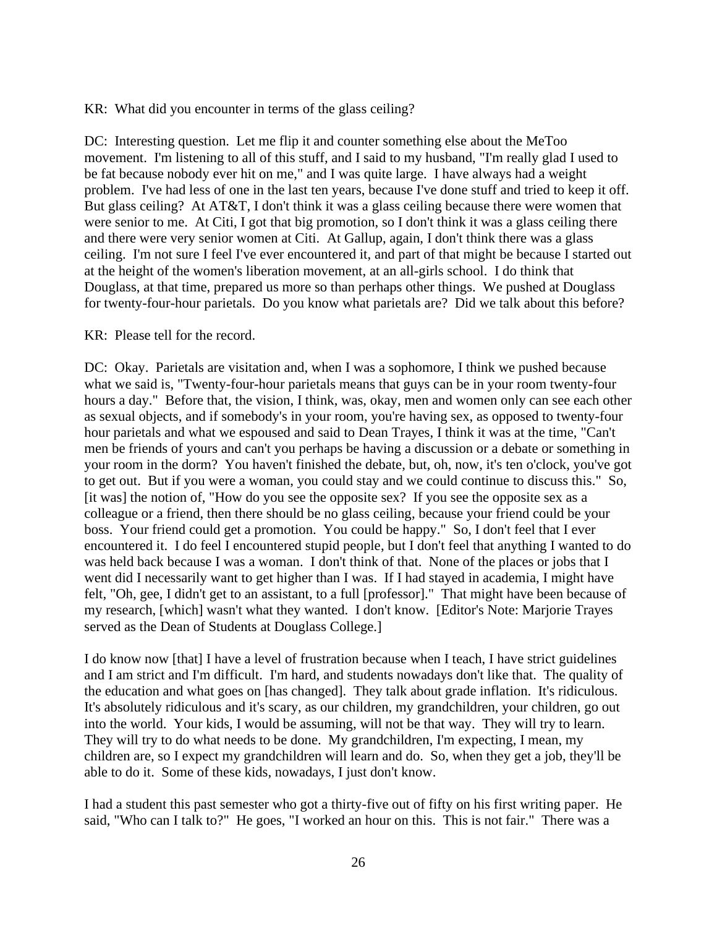KR: What did you encounter in terms of the glass ceiling?

DC: Interesting question. Let me flip it and counter something else about the MeToo movement. I'm listening to all of this stuff, and I said to my husband, "I'm really glad I used to be fat because nobody ever hit on me," and I was quite large. I have always had a weight problem. I've had less of one in the last ten years, because I've done stuff and tried to keep it off. But glass ceiling? At AT&T, I don't think it was a glass ceiling because there were women that were senior to me. At Citi, I got that big promotion, so I don't think it was a glass ceiling there and there were very senior women at Citi. At Gallup, again, I don't think there was a glass ceiling. I'm not sure I feel I've ever encountered it, and part of that might be because I started out at the height of the women's liberation movement, at an all-girls school. I do think that Douglass, at that time, prepared us more so than perhaps other things. We pushed at Douglass for twenty-four-hour parietals. Do you know what parietals are? Did we talk about this before?

## KR: Please tell for the record.

DC: Okay. Parietals are visitation and, when I was a sophomore, I think we pushed because what we said is, "Twenty-four-hour parietals means that guys can be in your room twenty-four hours a day." Before that, the vision, I think, was, okay, men and women only can see each other as sexual objects, and if somebody's in your room, you're having sex, as opposed to twenty-four hour parietals and what we espoused and said to Dean Trayes, I think it was at the time, "Can't men be friends of yours and can't you perhaps be having a discussion or a debate or something in your room in the dorm? You haven't finished the debate, but, oh, now, it's ten o'clock, you've got to get out. But if you were a woman, you could stay and we could continue to discuss this." So, [it was] the notion of, "How do you see the opposite sex? If you see the opposite sex as a colleague or a friend, then there should be no glass ceiling, because your friend could be your boss. Your friend could get a promotion. You could be happy." So, I don't feel that I ever encountered it. I do feel I encountered stupid people, but I don't feel that anything I wanted to do was held back because I was a woman. I don't think of that. None of the places or jobs that I went did I necessarily want to get higher than I was. If I had stayed in academia, I might have felt, "Oh, gee, I didn't get to an assistant, to a full [professor]." That might have been because of my research, [which] wasn't what they wanted. I don't know. [Editor's Note: Marjorie Trayes served as the Dean of Students at Douglass College.]

I do know now [that] I have a level of frustration because when I teach, I have strict guidelines and I am strict and I'm difficult. I'm hard, and students nowadays don't like that. The quality of the education and what goes on [has changed]. They talk about grade inflation. It's ridiculous. It's absolutely ridiculous and it's scary, as our children, my grandchildren, your children, go out into the world. Your kids, I would be assuming, will not be that way. They will try to learn. They will try to do what needs to be done. My grandchildren, I'm expecting, I mean, my children are, so I expect my grandchildren will learn and do. So, when they get a job, they'll be able to do it. Some of these kids, nowadays, I just don't know.

I had a student this past semester who got a thirty-five out of fifty on his first writing paper. He said, "Who can I talk to?" He goes, "I worked an hour on this. This is not fair." There was a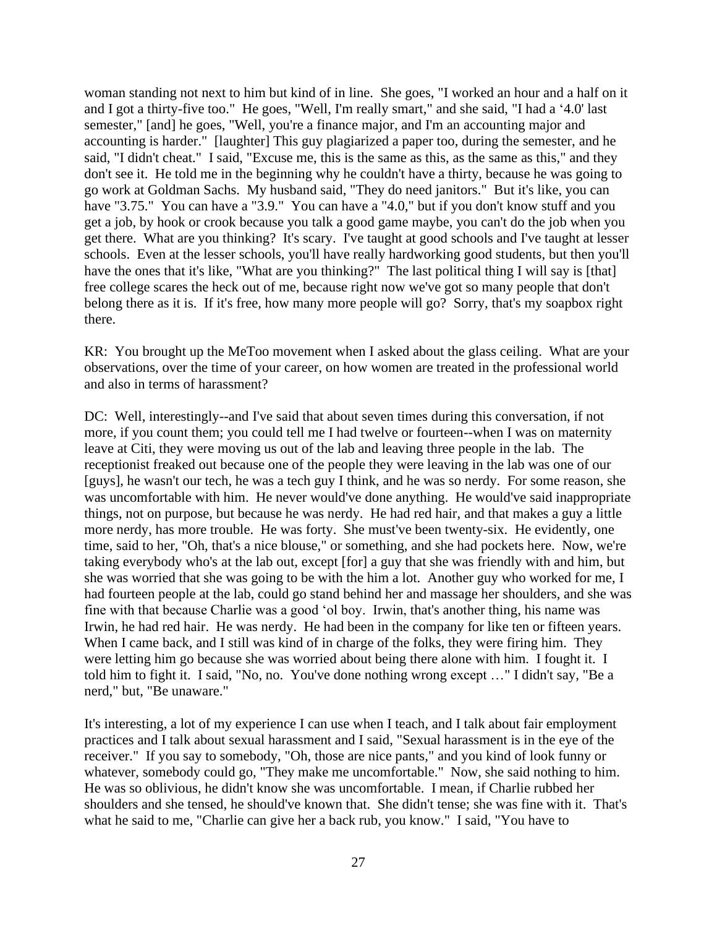woman standing not next to him but kind of in line. She goes, "I worked an hour and a half on it and I got a thirty-five too." He goes, "Well, I'm really smart," and she said, "I had a '4.0' last semester," [and] he goes, "Well, you're a finance major, and I'm an accounting major and accounting is harder." [laughter] This guy plagiarized a paper too, during the semester, and he said, "I didn't cheat." I said, "Excuse me, this is the same as this, as the same as this," and they don't see it. He told me in the beginning why he couldn't have a thirty, because he was going to go work at Goldman Sachs. My husband said, "They do need janitors." But it's like, you can have "3.75." You can have a "3.9." You can have a "4.0," but if you don't know stuff and you get a job, by hook or crook because you talk a good game maybe, you can't do the job when you get there. What are you thinking? It's scary. I've taught at good schools and I've taught at lesser schools. Even at the lesser schools, you'll have really hardworking good students, but then you'll have the ones that it's like, "What are you thinking?" The last political thing I will say is [that] free college scares the heck out of me, because right now we've got so many people that don't belong there as it is. If it's free, how many more people will go? Sorry, that's my soapbox right there.

KR: You brought up the MeToo movement when I asked about the glass ceiling. What are your observations, over the time of your career, on how women are treated in the professional world and also in terms of harassment?

DC: Well, interestingly--and I've said that about seven times during this conversation, if not more, if you count them; you could tell me I had twelve or fourteen--when I was on maternity leave at Citi, they were moving us out of the lab and leaving three people in the lab. The receptionist freaked out because one of the people they were leaving in the lab was one of our [guys], he wasn't our tech, he was a tech guy I think, and he was so nerdy. For some reason, she was uncomfortable with him. He never would've done anything. He would've said inappropriate things, not on purpose, but because he was nerdy. He had red hair, and that makes a guy a little more nerdy, has more trouble. He was forty. She must've been twenty-six. He evidently, one time, said to her, "Oh, that's a nice blouse," or something, and she had pockets here. Now, we're taking everybody who's at the lab out, except [for] a guy that she was friendly with and him, but she was worried that she was going to be with the him a lot. Another guy who worked for me, I had fourteen people at the lab, could go stand behind her and massage her shoulders, and she was fine with that because Charlie was a good 'ol boy. Irwin, that's another thing, his name was Irwin, he had red hair. He was nerdy. He had been in the company for like ten or fifteen years. When I came back, and I still was kind of in charge of the folks, they were firing him. They were letting him go because she was worried about being there alone with him. I fought it. I told him to fight it. I said, "No, no. You've done nothing wrong except …" I didn't say, "Be a nerd," but, "Be unaware."

It's interesting, a lot of my experience I can use when I teach, and I talk about fair employment practices and I talk about sexual harassment and I said, "Sexual harassment is in the eye of the receiver." If you say to somebody, "Oh, those are nice pants," and you kind of look funny or whatever, somebody could go, "They make me uncomfortable." Now, she said nothing to him. He was so oblivious, he didn't know she was uncomfortable. I mean, if Charlie rubbed her shoulders and she tensed, he should've known that. She didn't tense; she was fine with it. That's what he said to me, "Charlie can give her a back rub, you know." I said, "You have to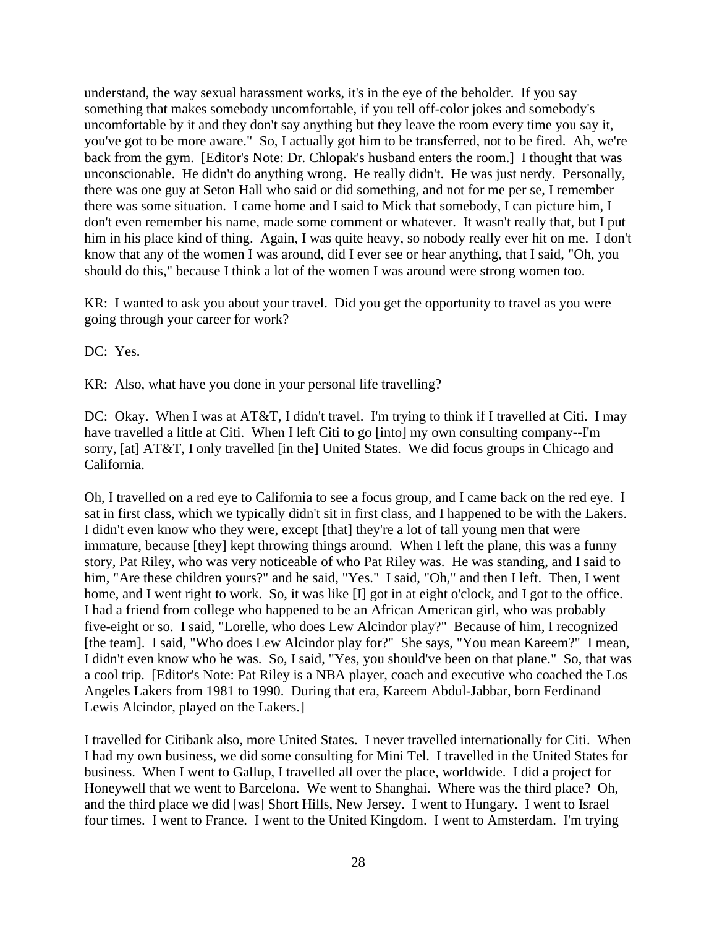understand, the way sexual harassment works, it's in the eye of the beholder. If you say something that makes somebody uncomfortable, if you tell off-color jokes and somebody's uncomfortable by it and they don't say anything but they leave the room every time you say it, you've got to be more aware." So, I actually got him to be transferred, not to be fired. Ah, we're back from the gym. [Editor's Note: Dr. Chlopak's husband enters the room.] I thought that was unconscionable. He didn't do anything wrong. He really didn't. He was just nerdy. Personally, there was one guy at Seton Hall who said or did something, and not for me per se, I remember there was some situation. I came home and I said to Mick that somebody, I can picture him, I don't even remember his name, made some comment or whatever. It wasn't really that, but I put him in his place kind of thing. Again, I was quite heavy, so nobody really ever hit on me. I don't know that any of the women I was around, did I ever see or hear anything, that I said, "Oh, you should do this," because I think a lot of the women I was around were strong women too.

KR: I wanted to ask you about your travel. Did you get the opportunity to travel as you were going through your career for work?

DC: Yes.

KR: Also, what have you done in your personal life travelling?

DC: Okay. When I was at AT&T, I didn't travel. I'm trying to think if I travelled at Citi. I may have travelled a little at Citi. When I left Citi to go [into] my own consulting company--I'm sorry, [at] AT&T, I only travelled [in the] United States. We did focus groups in Chicago and California.

Oh, I travelled on a red eye to California to see a focus group, and I came back on the red eye. I sat in first class, which we typically didn't sit in first class, and I happened to be with the Lakers. I didn't even know who they were, except [that] they're a lot of tall young men that were immature, because [they] kept throwing things around. When I left the plane, this was a funny story, Pat Riley, who was very noticeable of who Pat Riley was. He was standing, and I said to him, "Are these children yours?" and he said, "Yes." I said, "Oh," and then I left. Then, I went home, and I went right to work. So, it was like [I] got in at eight o'clock, and I got to the office. I had a friend from college who happened to be an African American girl, who was probably five-eight or so. I said, "Lorelle, who does Lew Alcindor play?" Because of him, I recognized [the team]. I said, "Who does Lew Alcindor play for?" She says, "You mean Kareem?" I mean, I didn't even know who he was. So, I said, "Yes, you should've been on that plane." So, that was a cool trip. [Editor's Note: Pat Riley is a NBA player, coach and executive who coached the Los Angeles Lakers from 1981 to 1990. During that era, Kareem Abdul-Jabbar, born Ferdinand Lewis Alcindor, played on the Lakers.]

I travelled for Citibank also, more United States. I never travelled internationally for Citi. When I had my own business, we did some consulting for Mini Tel. I travelled in the United States for business. When I went to Gallup, I travelled all over the place, worldwide. I did a project for Honeywell that we went to Barcelona. We went to Shanghai. Where was the third place? Oh, and the third place we did [was] Short Hills, New Jersey. I went to Hungary. I went to Israel four times. I went to France. I went to the United Kingdom. I went to Amsterdam. I'm trying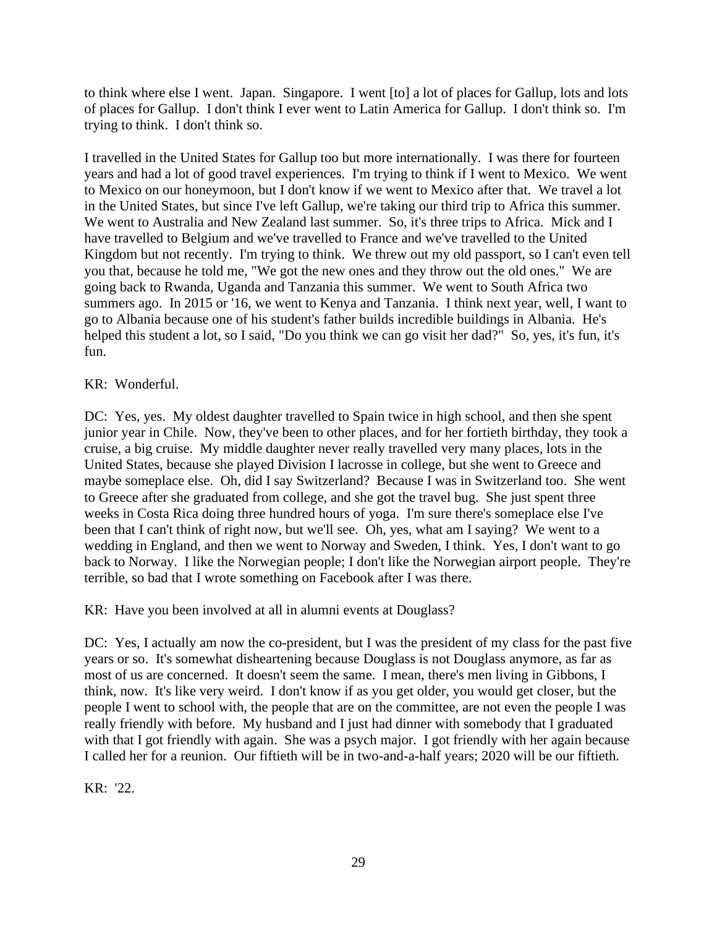to think where else I went. Japan. Singapore. I went [to] a lot of places for Gallup, lots and lots of places for Gallup. I don't think I ever went to Latin America for Gallup. I don't think so. I'm trying to think. I don't think so.

I travelled in the United States for Gallup too but more internationally. I was there for fourteen years and had a lot of good travel experiences. I'm trying to think if I went to Mexico. We went to Mexico on our honeymoon, but I don't know if we went to Mexico after that. We travel a lot in the United States, but since I've left Gallup, we're taking our third trip to Africa this summer. We went to Australia and New Zealand last summer. So, it's three trips to Africa. Mick and I have travelled to Belgium and we've travelled to France and we've travelled to the United Kingdom but not recently. I'm trying to think. We threw out my old passport, so I can't even tell you that, because he told me, "We got the new ones and they throw out the old ones." We are going back to Rwanda, Uganda and Tanzania this summer. We went to South Africa two summers ago. In 2015 or '16, we went to Kenya and Tanzania. I think next year, well, I want to go to Albania because one of his student's father builds incredible buildings in Albania. He's helped this student a lot, so I said, "Do you think we can go visit her dad?" So, yes, it's fun, it's fun.

# KR: Wonderful.

DC: Yes, yes. My oldest daughter travelled to Spain twice in high school, and then she spent junior year in Chile. Now, they've been to other places, and for her fortieth birthday, they took a cruise, a big cruise. My middle daughter never really travelled very many places, lots in the United States, because she played Division I lacrosse in college, but she went to Greece and maybe someplace else. Oh, did I say Switzerland? Because I was in Switzerland too. She went to Greece after she graduated from college, and she got the travel bug. She just spent three weeks in Costa Rica doing three hundred hours of yoga. I'm sure there's someplace else I've been that I can't think of right now, but we'll see. Oh, yes, what am I saying? We went to a wedding in England, and then we went to Norway and Sweden, I think. Yes, I don't want to go back to Norway. I like the Norwegian people; I don't like the Norwegian airport people. They're terrible, so bad that I wrote something on Facebook after I was there.

KR: Have you been involved at all in alumni events at Douglass?

DC: Yes, I actually am now the co-president, but I was the president of my class for the past five years or so. It's somewhat disheartening because Douglass is not Douglass anymore, as far as most of us are concerned. It doesn't seem the same. I mean, there's men living in Gibbons, I think, now. It's like very weird. I don't know if as you get older, you would get closer, but the people I went to school with, the people that are on the committee, are not even the people I was really friendly with before. My husband and I just had dinner with somebody that I graduated with that I got friendly with again. She was a psych major. I got friendly with her again because I called her for a reunion. Our fiftieth will be in two-and-a-half years; 2020 will be our fiftieth.

KR: '22.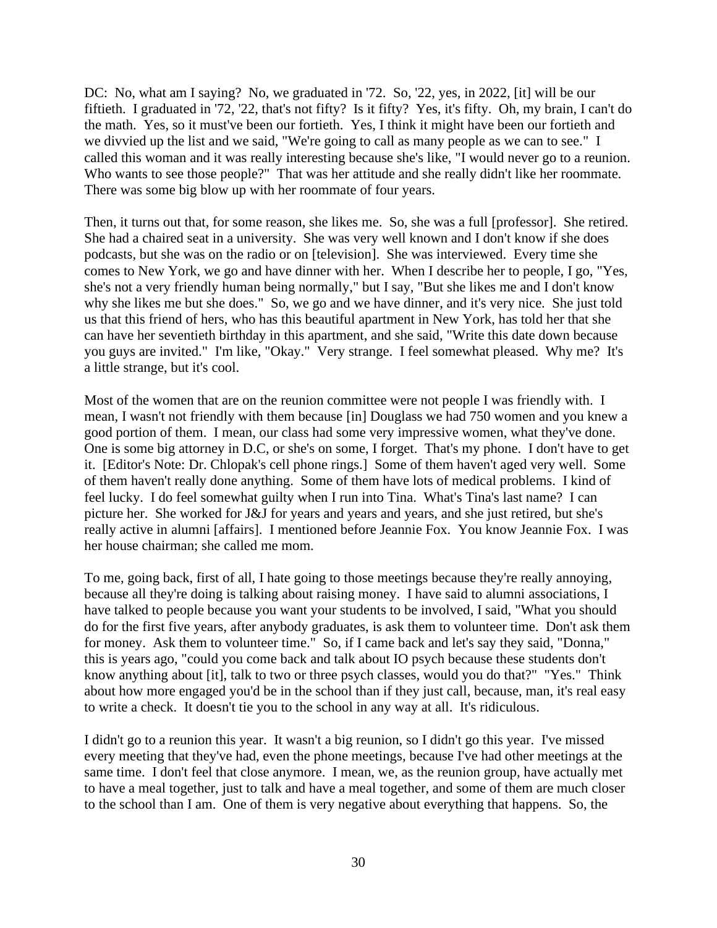DC: No, what am I saying? No, we graduated in '72. So, '22, yes, in 2022, [it] will be our fiftieth. I graduated in '72, '22, that's not fifty? Is it fifty? Yes, it's fifty. Oh, my brain, I can't do the math. Yes, so it must've been our fortieth. Yes, I think it might have been our fortieth and we divvied up the list and we said, "We're going to call as many people as we can to see." I called this woman and it was really interesting because she's like, "I would never go to a reunion. Who wants to see those people?" That was her attitude and she really didn't like her roommate. There was some big blow up with her roommate of four years.

Then, it turns out that, for some reason, she likes me. So, she was a full [professor]. She retired. She had a chaired seat in a university. She was very well known and I don't know if she does podcasts, but she was on the radio or on [television]. She was interviewed. Every time she comes to New York, we go and have dinner with her. When I describe her to people, I go, "Yes, she's not a very friendly human being normally," but I say, "But she likes me and I don't know why she likes me but she does." So, we go and we have dinner, and it's very nice. She just told us that this friend of hers, who has this beautiful apartment in New York, has told her that she can have her seventieth birthday in this apartment, and she said, "Write this date down because you guys are invited." I'm like, "Okay." Very strange. I feel somewhat pleased. Why me? It's a little strange, but it's cool.

Most of the women that are on the reunion committee were not people I was friendly with. I mean, I wasn't not friendly with them because [in] Douglass we had 750 women and you knew a good portion of them. I mean, our class had some very impressive women, what they've done. One is some big attorney in D.C, or she's on some, I forget. That's my phone. I don't have to get it. [Editor's Note: Dr. Chlopak's cell phone rings.] Some of them haven't aged very well. Some of them haven't really done anything. Some of them have lots of medical problems. I kind of feel lucky. I do feel somewhat guilty when I run into Tina. What's Tina's last name? I can picture her. She worked for J&J for years and years and years, and she just retired, but she's really active in alumni [affairs]. I mentioned before Jeannie Fox. You know Jeannie Fox. I was her house chairman; she called me mom.

To me, going back, first of all, I hate going to those meetings because they're really annoying, because all they're doing is talking about raising money. I have said to alumni associations, I have talked to people because you want your students to be involved, I said, "What you should do for the first five years, after anybody graduates, is ask them to volunteer time. Don't ask them for money. Ask them to volunteer time." So, if I came back and let's say they said, "Donna," this is years ago, "could you come back and talk about IO psych because these students don't know anything about [it], talk to two or three psych classes, would you do that?" "Yes." Think about how more engaged you'd be in the school than if they just call, because, man, it's real easy to write a check. It doesn't tie you to the school in any way at all. It's ridiculous.

I didn't go to a reunion this year. It wasn't a big reunion, so I didn't go this year. I've missed every meeting that they've had, even the phone meetings, because I've had other meetings at the same time. I don't feel that close anymore. I mean, we, as the reunion group, have actually met to have a meal together, just to talk and have a meal together, and some of them are much closer to the school than I am. One of them is very negative about everything that happens. So, the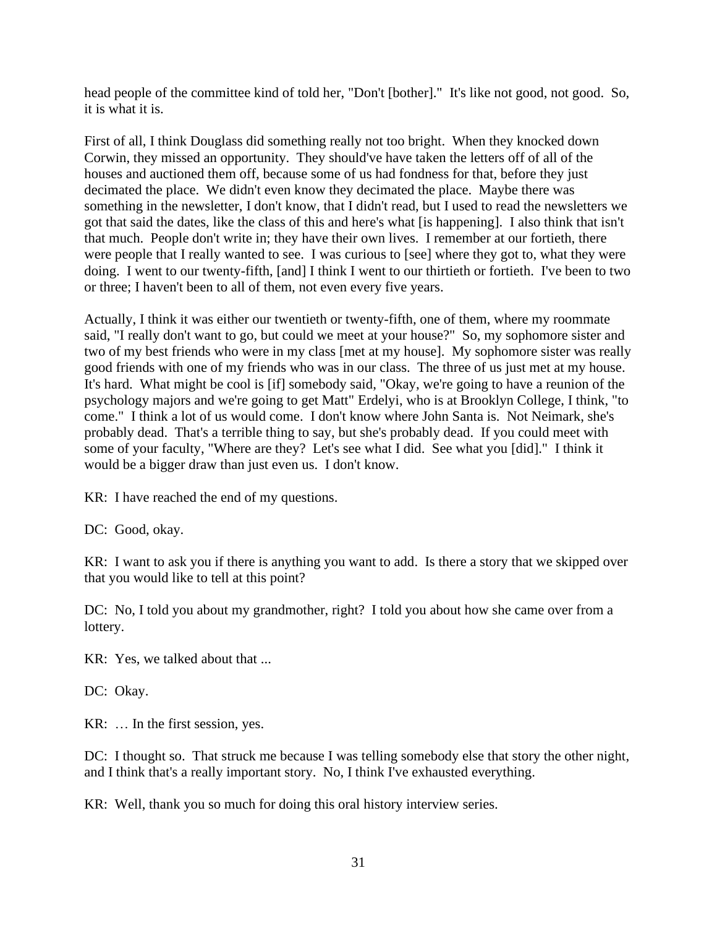head people of the committee kind of told her, "Don't [bother]." It's like not good, not good. So, it is what it is.

First of all, I think Douglass did something really not too bright. When they knocked down Corwin, they missed an opportunity. They should've have taken the letters off of all of the houses and auctioned them off, because some of us had fondness for that, before they just decimated the place. We didn't even know they decimated the place. Maybe there was something in the newsletter, I don't know, that I didn't read, but I used to read the newsletters we got that said the dates, like the class of this and here's what [is happening]. I also think that isn't that much. People don't write in; they have their own lives. I remember at our fortieth, there were people that I really wanted to see. I was curious to [see] where they got to, what they were doing. I went to our twenty-fifth, [and] I think I went to our thirtieth or fortieth. I've been to two or three; I haven't been to all of them, not even every five years.

Actually, I think it was either our twentieth or twenty-fifth, one of them, where my roommate said, "I really don't want to go, but could we meet at your house?" So, my sophomore sister and two of my best friends who were in my class [met at my house]. My sophomore sister was really good friends with one of my friends who was in our class. The three of us just met at my house. It's hard. What might be cool is [if] somebody said, "Okay, we're going to have a reunion of the psychology majors and we're going to get Matt" Erdelyi, who is at Brooklyn College, I think, "to come." I think a lot of us would come. I don't know where John Santa is. Not Neimark, she's probably dead. That's a terrible thing to say, but she's probably dead. If you could meet with some of your faculty, "Where are they? Let's see what I did. See what you [did]." I think it would be a bigger draw than just even us. I don't know.

KR: I have reached the end of my questions.

DC: Good, okay.

KR: I want to ask you if there is anything you want to add. Is there a story that we skipped over that you would like to tell at this point?

DC: No, I told you about my grandmother, right? I told you about how she came over from a lottery.

KR: Yes, we talked about that ...

DC: Okay.

KR: … In the first session, yes.

DC: I thought so. That struck me because I was telling somebody else that story the other night, and I think that's a really important story. No, I think I've exhausted everything.

KR: Well, thank you so much for doing this oral history interview series.